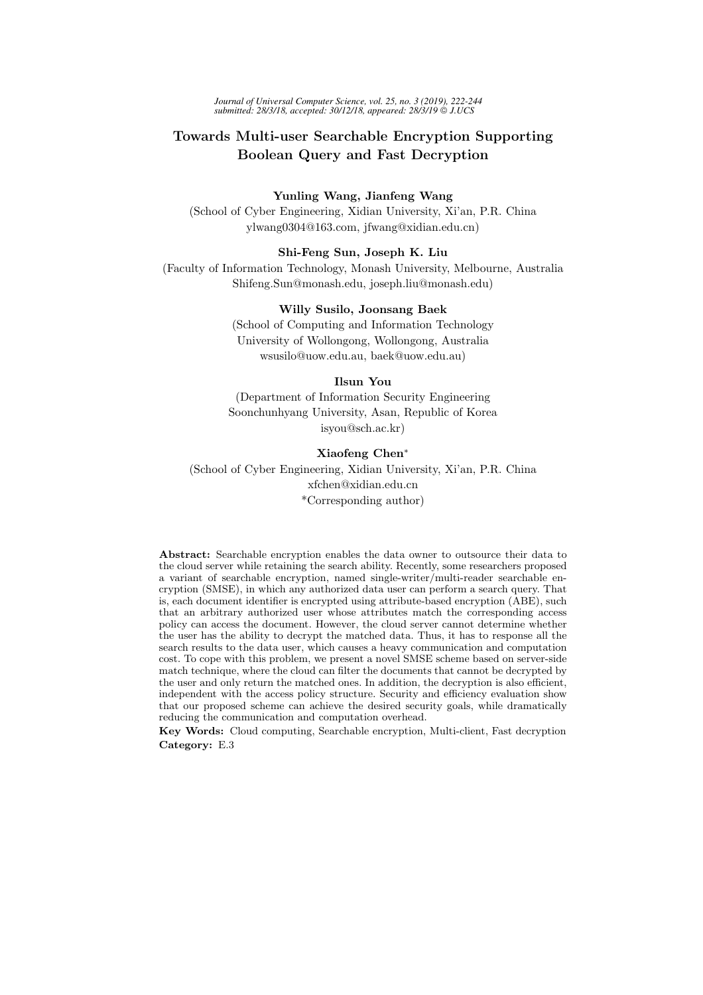*Journal of Universal Computer Science, vol. 25, no. 3 (2019), 222-244 submitted: 28/3/18, accepted: 30/12/18, appeared: 28/3/19 J.UCS*

# Towards Multi-user Searchable Encryption Supporting Boolean Query and Fast Decryption

Yunling Wang, Jianfeng Wang (School of Cyber Engineering, Xidian University, Xi'an, P.R. China ylwang0304@163.com, jfwang@xidian.edu.cn)

Shi-Feng Sun, Joseph K. Liu

(Faculty of Information Technology, Monash University, Melbourne, Australia Shifeng.Sun@monash.edu, joseph.liu@monash.edu)

#### Willy Susilo, Joonsang Baek

(School of Computing and Information Technology University of Wollongong, Wollongong, Australia wsusilo@uow.edu.au, baek@uow.edu.au)

## Ilsun You

(Department of Information Security Engineering Soonchunhyang University, Asan, Republic of Korea isyou@sch.ac.kr)

## Xiaofeng Chen<sup>∗</sup>

(School of Cyber Engineering, Xidian University, Xi'an, P.R. China xfchen@xidian.edu.cn \*Corresponding author)

Abstract: Searchable encryption enables the data owner to outsource their data to the cloud server while retaining the search ability. Recently, some researchers proposed a variant of searchable encryption, named single-writer/multi-reader searchable encryption (SMSE), in which any authorized data user can perform a search query. That is, each document identifier is encrypted using attribute-based encryption (ABE), such that an arbitrary authorized user whose attributes match the corresponding access policy can access the document. However, the cloud server cannot determine whether the user has the ability to decrypt the matched data. Thus, it has to response all the search results to the data user, which causes a heavy communication and computation cost. To cope with this problem, we present a novel SMSE scheme based on server-side match technique, where the cloud can filter the documents that cannot be decrypted by the user and only return the matched ones. In addition, the decryption is also efficient, independent with the access policy structure. Security and efficiency evaluation show that our proposed scheme can achieve the desired security goals, while dramatically reducing the communication and computation overhead.

Key Words: Cloud computing, Searchable encryption, Multi-client, Fast decryption Category: E.3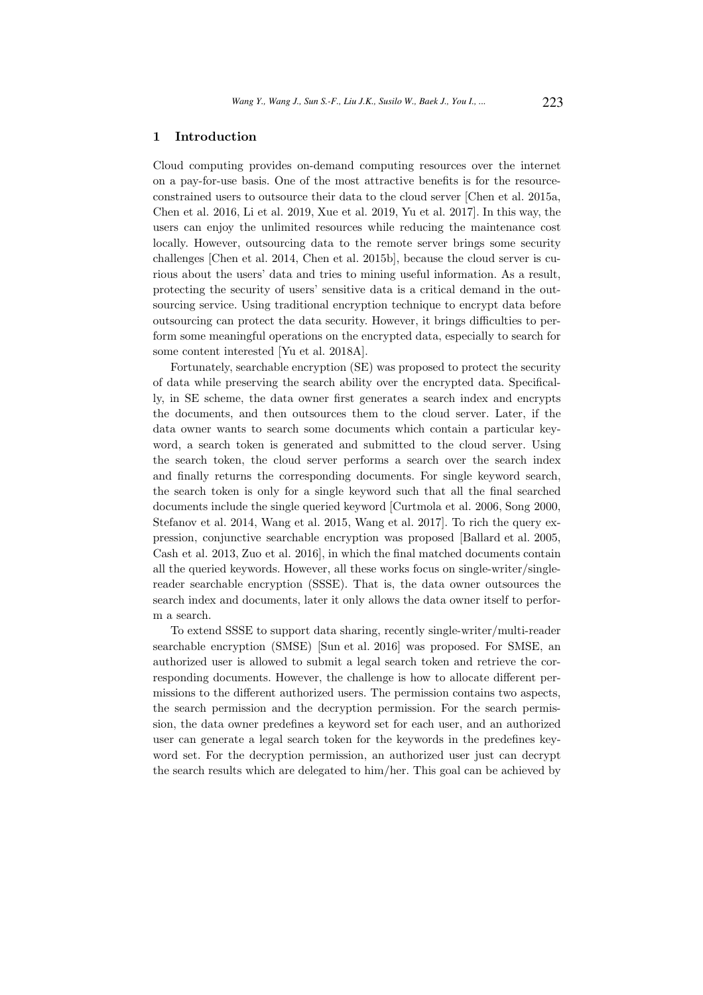# 1 Introduction

Cloud computing provides on-demand computing resources over the internet on a pay-for-use basis. One of the most attractive benefits is for the resourceconstrained users to outsource their data to the cloud server [Chen et al. 2015a, Chen et al. 2016, Li et al. 2019, Xue et al. 2019, Yu et al. 2017]. In this way, the users can enjoy the unlimited resources while reducing the maintenance cost locally. However, outsourcing data to the remote server brings some security challenges [Chen et al. 2014, Chen et al. 2015b], because the cloud server is curious about the users' data and tries to mining useful information. As a result, protecting the security of users' sensitive data is a critical demand in the outsourcing service. Using traditional encryption technique to encrypt data before outsourcing can protect the data security. However, it brings difficulties to perform some meaningful operations on the encrypted data, especially to search for some content interested [Yu et al. 2018A].

Fortunately, searchable encryption (SE) was proposed to protect the security of data while preserving the search ability over the encrypted data. Specifically, in SE scheme, the data owner first generates a search index and encrypts the documents, and then outsources them to the cloud server. Later, if the data owner wants to search some documents which contain a particular keyword, a search token is generated and submitted to the cloud server. Using the search token, the cloud server performs a search over the search index and finally returns the corresponding documents. For single keyword search, the search token is only for a single keyword such that all the final searched documents include the single queried keyword [Curtmola et al. 2006, Song 2000, Stefanov et al. 2014, Wang et al. 2015, Wang et al. 2017]. To rich the query expression, conjunctive searchable encryption was proposed [Ballard et al. 2005, Cash et al. 2013, Zuo et al. 2016], in which the final matched documents contain all the queried keywords. However, all these works focus on single-writer/singlereader searchable encryption (SSSE). That is, the data owner outsources the search index and documents, later it only allows the data owner itself to perform a search.

To extend SSSE to support data sharing, recently single-writer/multi-reader searchable encryption (SMSE) [Sun et al. 2016] was proposed. For SMSE, an authorized user is allowed to submit a legal search token and retrieve the corresponding documents. However, the challenge is how to allocate different permissions to the different authorized users. The permission contains two aspects, the search permission and the decryption permission. For the search permission, the data owner predefines a keyword set for each user, and an authorized user can generate a legal search token for the keywords in the predefines keyword set. For the decryption permission, an authorized user just can decrypt the search results which are delegated to him/her. This goal can be achieved by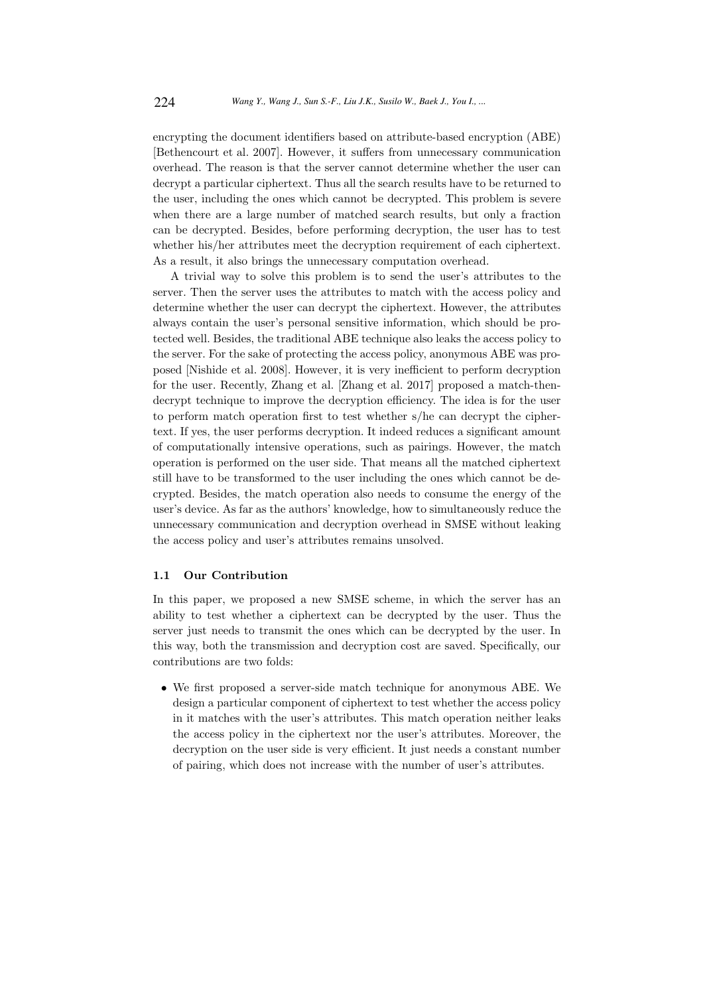encrypting the document identifiers based on attribute-based encryption (ABE) [Bethencourt et al. 2007]. However, it suffers from unnecessary communication overhead. The reason is that the server cannot determine whether the user can decrypt a particular ciphertext. Thus all the search results have to be returned to the user, including the ones which cannot be decrypted. This problem is severe when there are a large number of matched search results, but only a fraction can be decrypted. Besides, before performing decryption, the user has to test whether his/her attributes meet the decryption requirement of each ciphertext. As a result, it also brings the unnecessary computation overhead.

A trivial way to solve this problem is to send the user's attributes to the server. Then the server uses the attributes to match with the access policy and determine whether the user can decrypt the ciphertext. However, the attributes always contain the user's personal sensitive information, which should be protected well. Besides, the traditional ABE technique also leaks the access policy to the server. For the sake of protecting the access policy, anonymous ABE was proposed [Nishide et al. 2008]. However, it is very inefficient to perform decryption for the user. Recently, Zhang et al. [Zhang et al. 2017] proposed a match-thendecrypt technique to improve the decryption efficiency. The idea is for the user to perform match operation first to test whether s/he can decrypt the ciphertext. If yes, the user performs decryption. It indeed reduces a significant amount of computationally intensive operations, such as pairings. However, the match operation is performed on the user side. That means all the matched ciphertext still have to be transformed to the user including the ones which cannot be decrypted. Besides, the match operation also needs to consume the energy of the user's device. As far as the authors' knowledge, how to simultaneously reduce the unnecessary communication and decryption overhead in SMSE without leaking the access policy and user's attributes remains unsolved.

#### 1.1 Our Contribution

In this paper, we proposed a new SMSE scheme, in which the server has an ability to test whether a ciphertext can be decrypted by the user. Thus the server just needs to transmit the ones which can be decrypted by the user. In this way, both the transmission and decryption cost are saved. Specifically, our contributions are two folds:

• We first proposed a server-side match technique for anonymous ABE. We design a particular component of ciphertext to test whether the access policy in it matches with the user's attributes. This match operation neither leaks the access policy in the ciphertext nor the user's attributes. Moreover, the decryption on the user side is very efficient. It just needs a constant number of pairing, which does not increase with the number of user's attributes.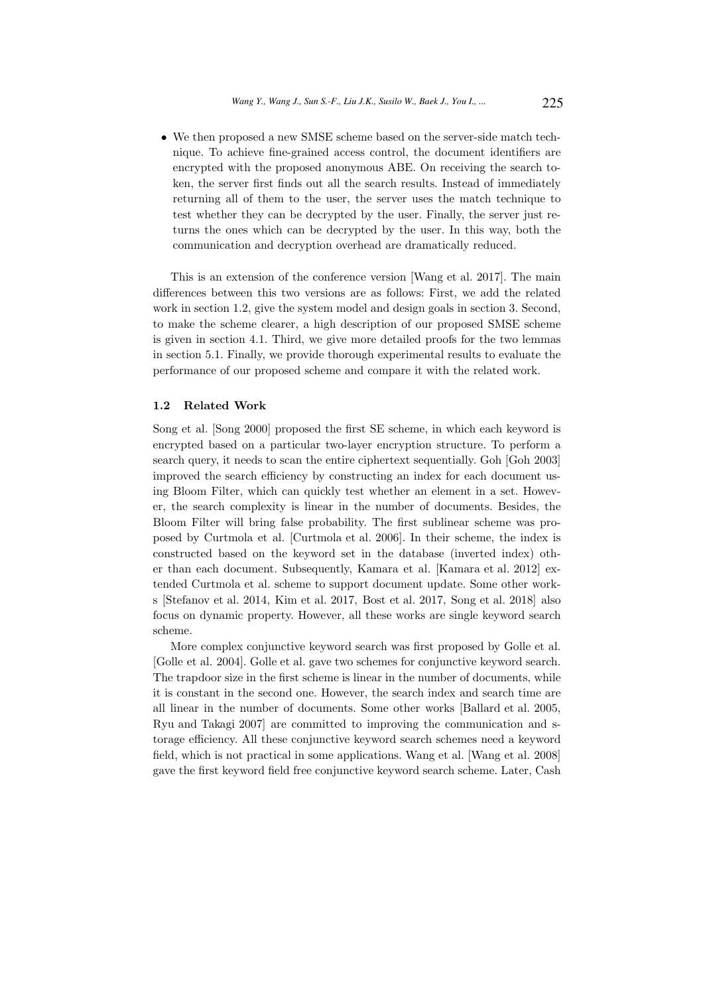• We then proposed a new SMSE scheme based on the server-side match technique. To achieve fine-grained access control, the document identifiers are encrypted with the proposed anonymous ABE. On receiving the search token, the server first finds out all the search results. Instead of immediately returning all of them to the user, the server uses the match technique to test whether they can be decrypted by the user. Finally, the server just returns the ones which can be decrypted by the user. In this way, both the communication and decryption overhead are dramatically reduced.

This is an extension of the conference version [Wang et al. 2017]. The main differences between this two versions are as follows: First, we add the related work in section 1.2, give the system model and design goals in section 3. Second, to make the scheme clearer, a high description of our proposed SMSE scheme is given in section 4.1. Third, we give more detailed proofs for the two lemmas in section 5.1. Finally, we provide thorough experimental results to evaluate the performance of our proposed scheme and compare it with the related work.

#### 1.2 Related Work

Song et al. [Song 2000] proposed the first SE scheme, in which each keyword is encrypted based on a particular two-layer encryption structure. To perform a search query, it needs to scan the entire ciphertext sequentially. Goh [Goh 2003] improved the search efficiency by constructing an index for each document using Bloom Filter, which can quickly test whether an element in a set. However, the search complexity is linear in the number of documents. Besides, the Bloom Filter will bring false probability. The first sublinear scheme was proposed by Curtmola et al. [Curtmola et al. 2006]. In their scheme, the index is constructed based on the keyword set in the database (inverted index) other than each document. Subsequently, Kamara et al. [Kamara et al. 2012] extended Curtmola et al. scheme to support document update. Some other works [Stefanov et al. 2014, Kim et al. 2017, Bost et al. 2017, Song et al. 2018] also focus on dynamic property. However, all these works are single keyword search scheme.

More complex conjunctive keyword search was first proposed by Golle et al. [Golle et al. 2004]. Golle et al. gave two schemes for conjunctive keyword search. The trapdoor size in the first scheme is linear in the number of documents, while it is constant in the second one. However, the search index and search time are all linear in the number of documents. Some other works [Ballard et al. 2005, Ryu and Takagi 2007] are committed to improving the communication and storage efficiency. All these conjunctive keyword search schemes need a keyword field, which is not practical in some applications. Wang et al. [Wang et al. 2008] gave the first keyword field free conjunctive keyword search scheme. Later, Cash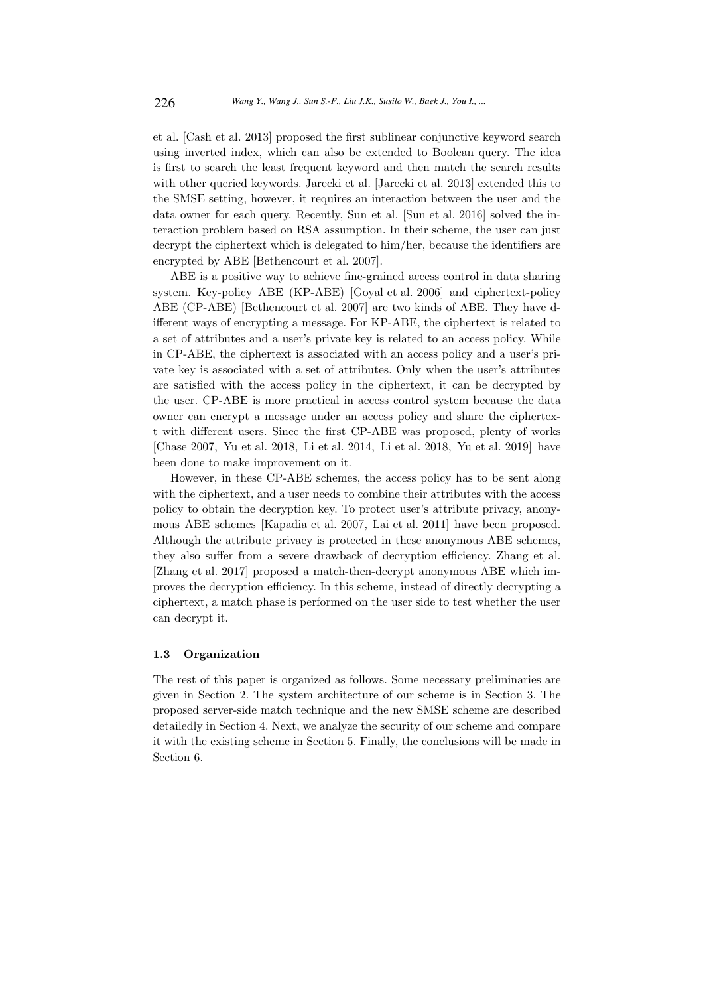et al. [Cash et al. 2013] proposed the first sublinear conjunctive keyword search using inverted index, which can also be extended to Boolean query. The idea is first to search the least frequent keyword and then match the search results with other queried keywords. Jarecki et al. [Jarecki et al. 2013] extended this to the SMSE setting, however, it requires an interaction between the user and the data owner for each query. Recently, Sun et al. [Sun et al. 2016] solved the interaction problem based on RSA assumption. In their scheme, the user can just decrypt the ciphertext which is delegated to him/her, because the identifiers are encrypted by ABE [Bethencourt et al. 2007].

ABE is a positive way to achieve fine-grained access control in data sharing system. Key-policy ABE (KP-ABE) [Goyal et al. 2006] and ciphertext-policy ABE (CP-ABE) [Bethencourt et al. 2007] are two kinds of ABE. They have different ways of encrypting a message. For KP-ABE, the ciphertext is related to a set of attributes and a user's private key is related to an access policy. While in CP-ABE, the ciphertext is associated with an access policy and a user's private key is associated with a set of attributes. Only when the user's attributes are satisfied with the access policy in the ciphertext, it can be decrypted by the user. CP-ABE is more practical in access control system because the data owner can encrypt a message under an access policy and share the ciphertext with different users. Since the first CP-ABE was proposed, plenty of works [Chase 2007, Yu et al. 2018, Li et al. 2014, Li et al. 2018, Yu et al. 2019] have been done to make improvement on it.

However, in these CP-ABE schemes, the access policy has to be sent along with the ciphertext, and a user needs to combine their attributes with the access policy to obtain the decryption key. To protect user's attribute privacy, anonymous ABE schemes [Kapadia et al. 2007, Lai et al. 2011] have been proposed. Although the attribute privacy is protected in these anonymous ABE schemes, they also suffer from a severe drawback of decryption efficiency. Zhang et al. [Zhang et al. 2017] proposed a match-then-decrypt anonymous ABE which improves the decryption efficiency. In this scheme, instead of directly decrypting a ciphertext, a match phase is performed on the user side to test whether the user can decrypt it.

## 1.3 Organization

The rest of this paper is organized as follows. Some necessary preliminaries are given in Section 2. The system architecture of our scheme is in Section 3. The proposed server-side match technique and the new SMSE scheme are described detailedly in Section 4. Next, we analyze the security of our scheme and compare it with the existing scheme in Section 5. Finally, the conclusions will be made in Section 6.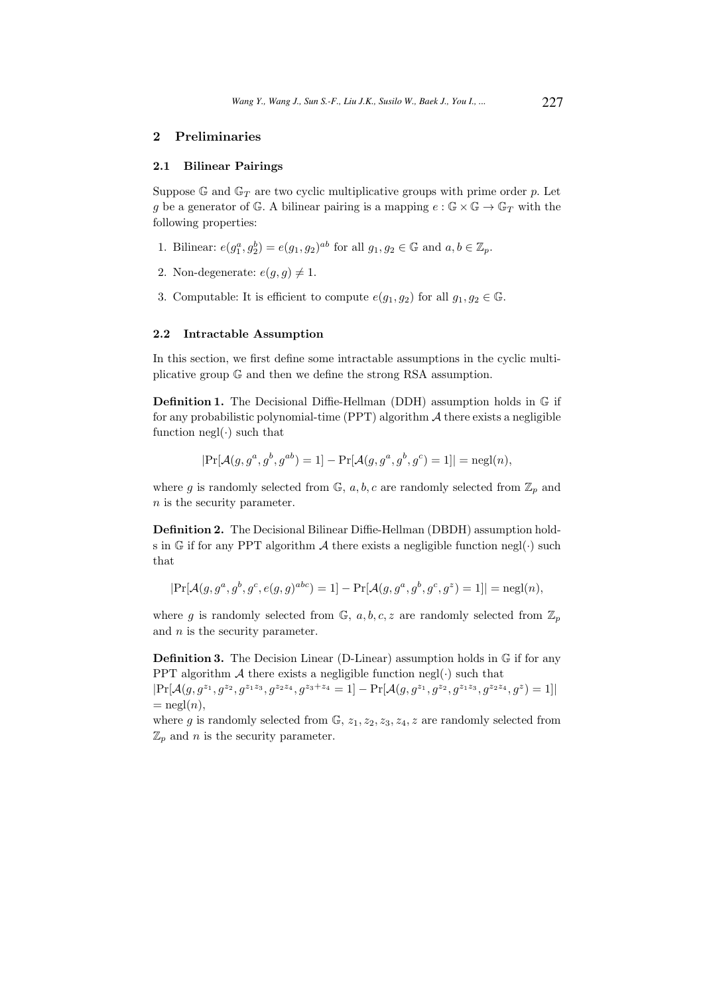# 2 Preliminaries

## 2.1 Bilinear Pairings

Suppose G and  $\mathbb{G}_T$  are two cyclic multiplicative groups with prime order p. Let g be a generator of G. A bilinear pairing is a mapping  $e : \mathbb{G} \times \mathbb{G} \to \mathbb{G}_T$  with the following properties:

- 1. Bilinear:  $e(g_1^a, g_2^b) = e(g_1, g_2)^{ab}$  for all  $g_1, g_2 \in \mathbb{G}$  and  $a, b \in \mathbb{Z}_p$ .
- 2. Non-degenerate:  $e(g, g) \neq 1$ .
- 3. Computable: It is efficient to compute  $e(g_1, g_2)$  for all  $g_1, g_2 \in \mathbb{G}$ .

#### 2.2 Intractable Assumption

In this section, we first define some intractable assumptions in the cyclic multiplicative group G and then we define the strong RSA assumption.

Definition 1. The Decisional Diffie-Hellman (DDH) assumption holds in G if for any probabilistic polynomial-time (PPT) algorithm  $A$  there exists a negligible function  $negl(\cdot)$  such that

$$
|\Pr[\mathcal{A}(g, g^a, g^b, g^{ab}) = 1] - \Pr[\mathcal{A}(g, g^a, g^b, g^c) = 1]| = \text{negl}(n),
$$

where g is randomly selected from  $\mathbb{G}$ , a, b, c are randomly selected from  $\mathbb{Z}_p$  and n is the security parameter.

Definition 2. The Decisional Bilinear Diffie-Hellman (DBDH) assumption holds in G if for any PPT algorithm  $A$  there exists a negligible function negl( $\cdot$ ) such that

$$
|\Pr[\mathcal{A}(g, g^a, g^b, g^c, e(g, g)^{abc}) = 1] - \Pr[\mathcal{A}(g, g^a, g^b, g^c, g^z) = 1]| = \text{negl}(n),
$$

where g is randomly selected from  $\mathbb{G}$ ,  $a, b, c, z$  are randomly selected from  $\mathbb{Z}_p$ and  $n$  is the security parameter.

Definition 3. The Decision Linear (D-Linear) assumption holds in G if for any PPT algorithm  $A$  there exists a negligible function negl( $\cdot$ ) such that

 $\Pr[\mathcal{A}(g, g^{z_1}, g^{z_2}, g^{z_1z_3}, g^{z_2z_4}, g^{z_3+z_4} = 1] - \Pr[\mathcal{A}(g, g^{z_1}, g^{z_2}, g^{z_1z_3}, g^{z_2z_4}, g^z) = 1]$  $=$  negl $(n)$ ,

where g is randomly selected from  $\mathbb{G}$ ,  $z_1, z_2, z_3, z_4, z$  are randomly selected from  $\mathbb{Z}_p$  and *n* is the security parameter.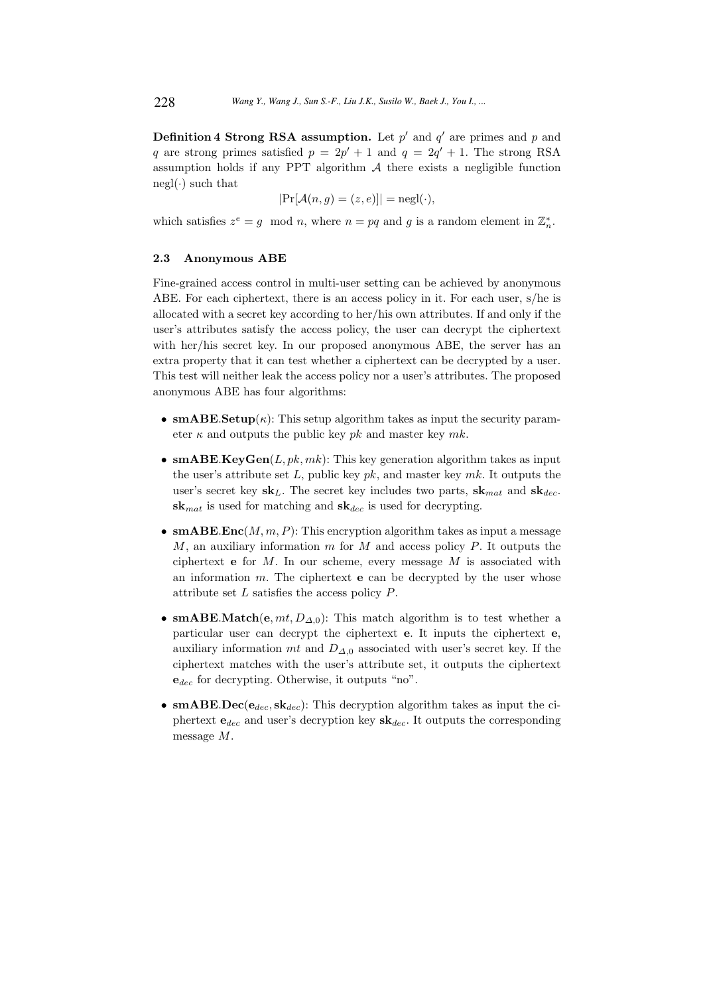**Definition 4 Strong RSA assumption.** Let  $p'$  and  $q'$  are primes and p and q are strong primes satisfied  $p = 2p' + 1$  and  $q = 2q' + 1$ . The strong RSA assumption holds if any PPT algorithm  $A$  there exists a negligible function  $negl(\cdot)$  such that

$$
|\Pr[\mathcal{A}(n,g) = (z,e)]| = \text{negl}(\cdot),
$$

which satisfies  $z^e = g \mod n$ , where  $n = pq$  and g is a random element in  $\mathbb{Z}_n^*$ .

## 2.3 Anonymous ABE

Fine-grained access control in multi-user setting can be achieved by anonymous ABE. For each ciphertext, there is an access policy in it. For each user, s/he is allocated with a secret key according to her/his own attributes. If and only if the user's attributes satisfy the access policy, the user can decrypt the ciphertext with her/his secret key. In our proposed anonymous ABE, the server has an extra property that it can test whether a ciphertext can be decrypted by a user. This test will neither leak the access policy nor a user's attributes. The proposed anonymous ABE has four algorithms:

- smABE.Setup $(\kappa)$ : This setup algorithm takes as input the security parameter  $\kappa$  and outputs the public key pk and master key mk.
- smABE.KeyGen $(L, pk, mk)$ : This key generation algorithm takes as input the user's attribute set L, public key  $pk$ , and master key  $mk$ . It outputs the user's secret key  $sk_L$ . The secret key includes two parts,  $sk_{mat}$  and  $sk_{dec}$ .  $sk_{mat}$  is used for matching and  $sk_{dec}$  is used for decrypting.
- smABE.Enc $(M, m, P)$ : This encryption algorithm takes as input a message M, an auxiliary information m for M and access policy P. It outputs the ciphertext  $e$  for  $M$ . In our scheme, every message  $M$  is associated with an information  $m$ . The ciphertext **e** can be decrypted by the user whose attribute set L satisfies the access policy P.
- smABE.Match(e,  $mt$ ,  $D_{\Delta,0}$ ): This match algorithm is to test whether a particular user can decrypt the ciphertext e. It inputs the ciphertext e, auxiliary information mt and  $D_{\Delta,0}$  associated with user's secret key. If the ciphertext matches with the user's attribute set, it outputs the ciphertext  $e_{dec}$  for decrypting. Otherwise, it outputs "no".
- smABE.Dec( $e_{dec}$ , sk<sub>dec</sub>): This decryption algorithm takes as input the ciphertext  $e_{dec}$  and user's decryption key  $sk_{dec}$ . It outputs the corresponding message M.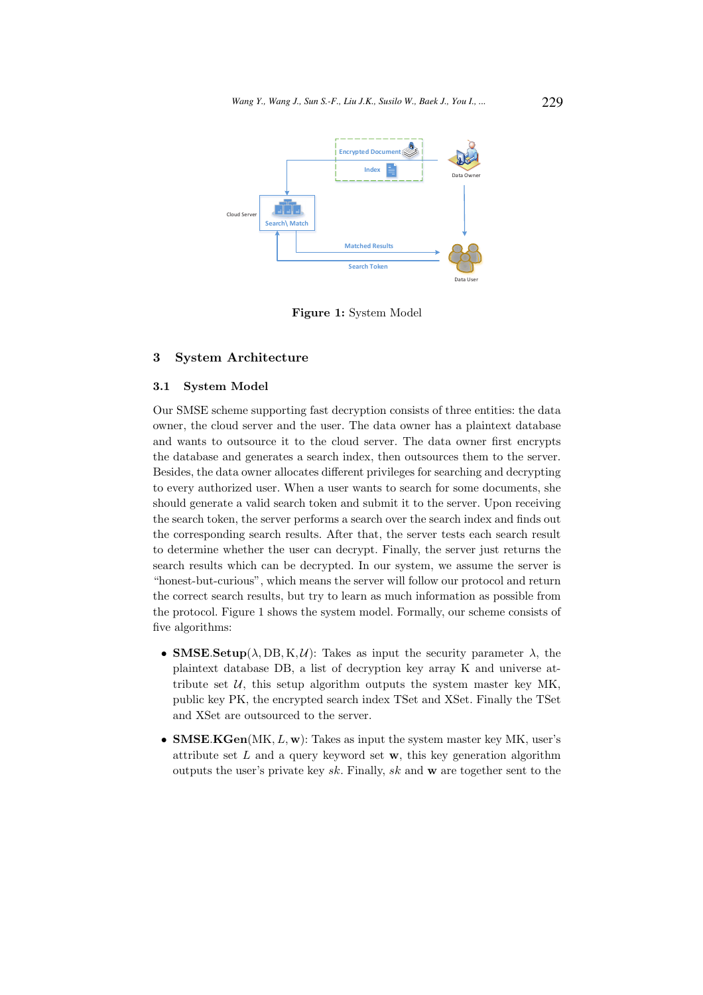

Figure 1: System Model

# 3 System Architecture

#### 3.1 System Model

Our SMSE scheme supporting fast decryption consists of three entities: the data owner, the cloud server and the user. The data owner has a plaintext database and wants to outsource it to the cloud server. The data owner first encrypts the database and generates a search index, then outsources them to the server. Besides, the data owner allocates different privileges for searching and decrypting to every authorized user. When a user wants to search for some documents, she should generate a valid search token and submit it to the server. Upon receiving the search token, the server performs a search over the search index and finds out the corresponding search results. After that, the server tests each search result to determine whether the user can decrypt. Finally, the server just returns the search results which can be decrypted. In our system, we assume the server is "honest-but-curious", which means the server will follow our protocol and return the correct search results, but try to learn as much information as possible from the protocol. Figure 1 shows the system model. Formally, our scheme consists of five algorithms:

- SMSE. Setup( $\lambda$ , DB, K, U): Takes as input the security parameter  $\lambda$ , the plaintext database DB, a list of decryption key array K and universe attribute set  $U$ , this setup algorithm outputs the system master key MK, public key PK, the encrypted search index TSet and XSet. Finally the TSet and XSet are outsourced to the server.
- SMSE.KGen(MK,  $L$ , w): Takes as input the system master key MK, user's attribute set  $L$  and a query keyword set  $w$ , this key generation algorithm outputs the user's private key  $sk$ . Finally,  $sk$  and  $w$  are together sent to the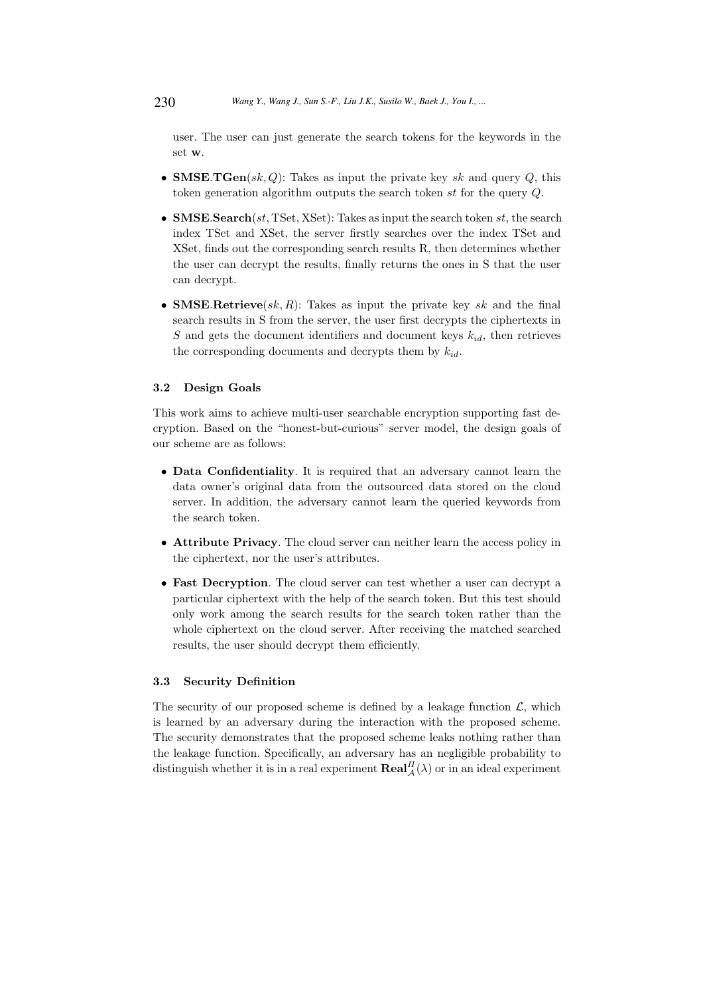user. The user can just generate the search tokens for the keywords in the set w.

- **SMSE.TGen** $(sk, Q)$ : Takes as input the private key sk and query Q, this token generation algorithm outputs the search token st for the query Q.
- SMSE.Search(st, TSet, XSet): Takes as input the search token st, the search index TSet and XSet, the server firstly searches over the index TSet and XSet, finds out the corresponding search results R, then determines whether the user can decrypt the results, finally returns the ones in S that the user can decrypt.
- SMSE.Retrieve(sk, R): Takes as input the private key sk and the final search results in S from the server, the user first decrypts the ciphertexts in S and gets the document identifiers and document keys  $k_{id}$ , then retrieves the corresponding documents and decrypts them by  $k_{id}$ .

### 3.2 Design Goals

This work aims to achieve multi-user searchable encryption supporting fast decryption. Based on the "honest-but-curious" server model, the design goals of our scheme are as follows:

- Data Confidentiality. It is required that an adversary cannot learn the data owner's original data from the outsourced data stored on the cloud server. In addition, the adversary cannot learn the queried keywords from the search token.
- Attribute Privacy. The cloud server can neither learn the access policy in the ciphertext, nor the user's attributes.
- Fast Decryption. The cloud server can test whether a user can decrypt a particular ciphertext with the help of the search token. But this test should only work among the search results for the search token rather than the whole ciphertext on the cloud server. After receiving the matched searched results, the user should decrypt them efficiently.

#### 3.3 Security Definition

The security of our proposed scheme is defined by a leakage function  $\mathcal{L}$ , which is learned by an adversary during the interaction with the proposed scheme. The security demonstrates that the proposed scheme leaks nothing rather than the leakage function. Specifically, an adversary has an negligible probability to distinguish whether it is in a real experiment  $\textbf{Real}_{\mathcal{A}}^{H}(\lambda)$  or in an ideal experiment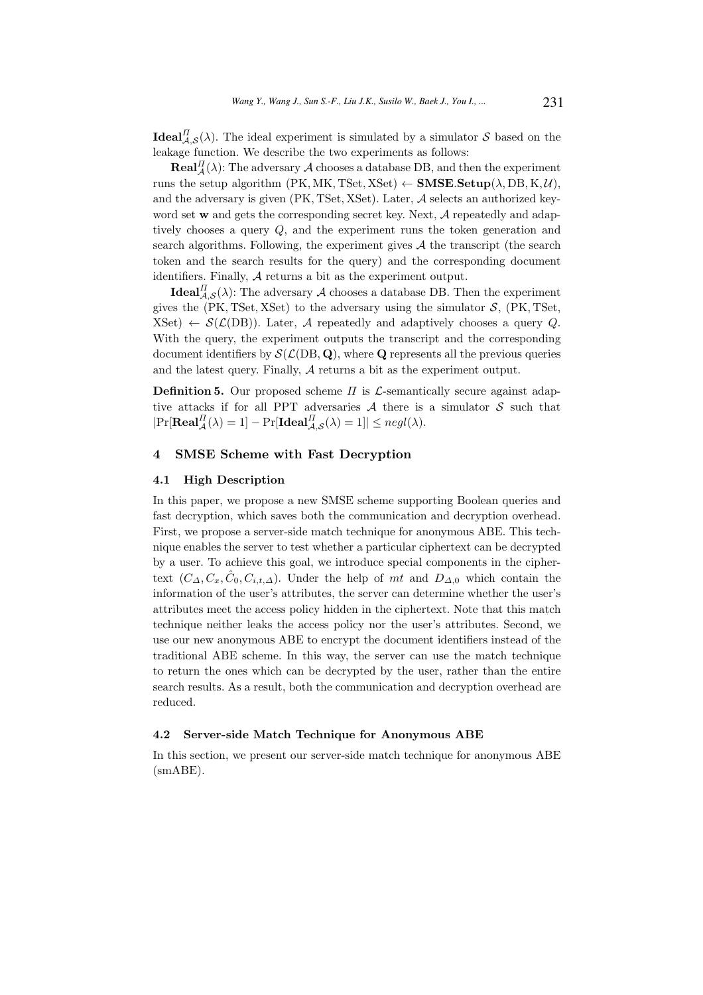**Ideal** $_{\mathcal{A},\mathcal{S}}^{II}(\lambda)$ . The ideal experiment is simulated by a simulator S based on the leakage function. We describe the two experiments as follows:

 $\textbf{Real}_{\mathcal{A}}^{II}(\lambda)$ : The adversary  $\mathcal{A}$  chooses a database DB, and then the experiment runs the setup algorithm (PK, MK, TSet, XSet)  $\leftarrow$  SMSE.Setup( $\lambda$ , DB, K, U), and the adversary is given  $(PK, TSet, XSet)$ . Later,  $A$  selects an authorized keyword set w and gets the corresponding secret key. Next,  $A$  repeatedly and adaptively chooses a query Q, and the experiment runs the token generation and search algorithms. Following, the experiment gives  $A$  the transcript (the search token and the search results for the query) and the corresponding document identifiers. Finally, A returns a bit as the experiment output.

**Ideal**  $I_{\mathcal{A},\mathcal{S}}^{II}(\lambda)$ : The adversary  $\mathcal A$  chooses a database DB. Then the experiment gives the  $(PK, TSet, XSet)$  to the adversary using the simulator  $S$ ,  $(PK, TSet,$  $(XSet) \leftarrow \mathcal{S}(\mathcal{L}(DB))$ . Later, A repeatedly and adaptively chooses a query Q. With the query, the experiment outputs the transcript and the corresponding document identifiers by  $\mathcal{S}(\mathcal{L}(DB, Q))$ , where Q represents all the previous queries and the latest query. Finally, A returns a bit as the experiment output.

**Definition 5.** Our proposed scheme  $\Pi$  is  $\mathcal{L}$ -semantically secure against adaptive attacks if for all PPT adversaries  $A$  there is a simulator  $S$  such that  $|\mathrm{Pr}[{\bf Real}_{\mathcal{A}}^{\Pi}(\lambda) = 1] - \mathrm{Pr}[{\bf Ideal}_{\mathcal{A},\mathcal{S}}^{\Pi}(\lambda) = 1]| \leq negl(\lambda).$ 

# 4 SMSE Scheme with Fast Decryption

#### 4.1 High Description

In this paper, we propose a new SMSE scheme supporting Boolean queries and fast decryption, which saves both the communication and decryption overhead. First, we propose a server-side match technique for anonymous ABE. This technique enables the server to test whether a particular ciphertext can be decrypted by a user. To achieve this goal, we introduce special components in the ciphertext  $(C_{\Delta}, C_x, \hat{C}_0, C_{i,t,\Delta})$ . Under the help of mt and  $D_{\Delta,0}$  which contain the information of the user's attributes, the server can determine whether the user's attributes meet the access policy hidden in the ciphertext. Note that this match technique neither leaks the access policy nor the user's attributes. Second, we use our new anonymous ABE to encrypt the document identifiers instead of the traditional ABE scheme. In this way, the server can use the match technique to return the ones which can be decrypted by the user, rather than the entire search results. As a result, both the communication and decryption overhead are reduced.

#### 4.2 Server-side Match Technique for Anonymous ABE

In this section, we present our server-side match technique for anonymous ABE (smABE).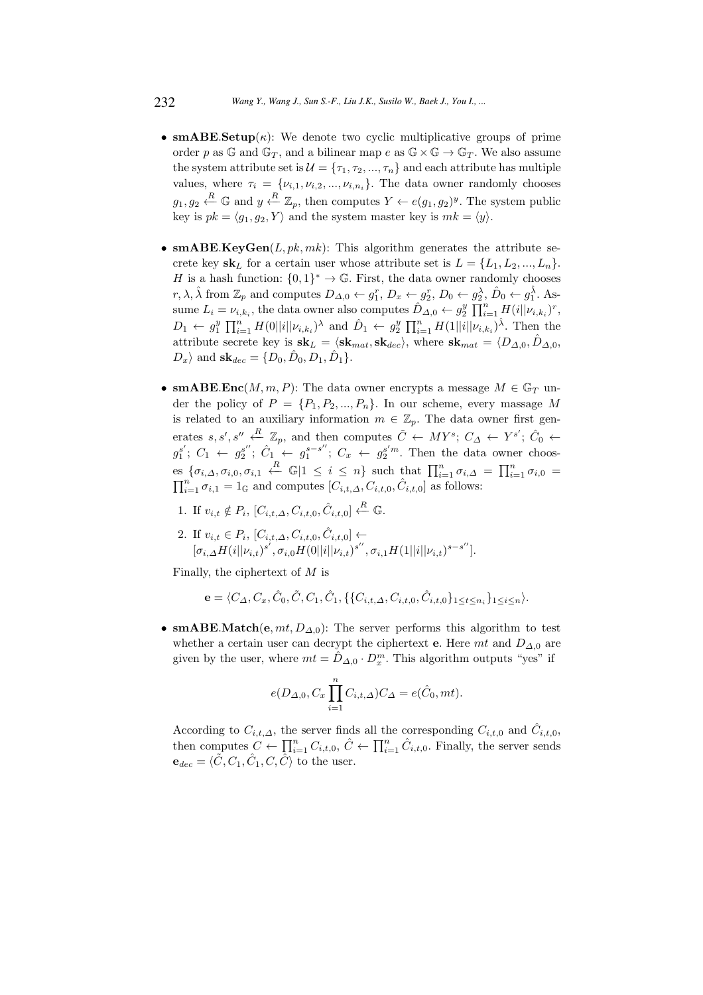- smABE. Setup $(\kappa)$ : We denote two cyclic multiplicative groups of prime order p as G and  $\mathbb{G}_T$ , and a bilinear map e as  $\mathbb{G} \times \mathbb{G} \to \mathbb{G}_T$ . We also assume the system attribute set is  $\mathcal{U} = {\tau_1, \tau_2, ..., \tau_n}$  and each attribute has multiple values, where  $\tau_i = \{v_{i,1}, v_{i,2}, ..., v_{i,n_i}\}.$  The data owner randomly chooses  $g_1, g_2 \stackrel{R}{\leftarrow} \mathbb{G}$  and  $y \stackrel{R}{\leftarrow} \mathbb{Z}_p$ , then computes  $Y \leftarrow e(g_1, g_2)^y$ . The system public key is  $pk = \langle q_1, q_2, Y \rangle$  and the system master key is  $mk = \langle y \rangle$ .
- smABE.KeyGen $(L, pk, mk)$ : This algorithm generates the attribute secrete key  $\mathbf{sk}_L$  for a certain user whose attribute set is  $L = \{L_1, L_2, ..., L_n\}$ . H is a hash function:  $\{0,1\}^* \to \mathbb{G}$ . First, the data owner randomly chooses r,  $\lambda$ ,  $\hat{\lambda}$  from  $\mathbb{Z}_p$  and computes  $D_{\Delta,0} \leftarrow g_1^r$ ,  $D_x \leftarrow g_2^r$ ,  $D_0 \leftarrow g_2^{\lambda}$ ,  $\hat{D}_0 \leftarrow g_1^{\lambda}$ . Assume  $L_i = \nu_{i,k_i}$ , the data owner also computes  $\hat{D}_{\Delta,0} \leftarrow g_2^y \prod_{i=1}^n H(i||\nu_{i,k_i})^r$ ,  $D_1 \leftarrow g_1^y \prod_{i=1}^n H(0||i||\nu_{i,k_i})^{\lambda}$  and  $\hat{D}_1 \leftarrow g_2^y \prod_{i=1}^n H(1||i||\nu_{i,k_i})^{\hat{\lambda}}$ . Then the attribute secrete key is  $\mathbf{sk}_L = \langle \mathbf{sk}_{mat}, \mathbf{sk}_{dec} \rangle$ , where  $\mathbf{sk}_{mat} = \langle D_{\Delta,0}, \hat{D}_{\Delta,0}, \hat{D}_{\Delta,0} \rangle$  $D_x$  and  $\mathbf{sk}_{dec} = \{D_0, \hat{D}_0, D_1, \hat{D}_1\}.$
- smABE.Enc $(M, m, P)$ : The data owner encrypts a message  $M \in \mathbb{G}_T$  under the policy of  $P = \{P_1, P_2, ..., P_n\}$ . In our scheme, every massage M is related to an auxiliary information  $m \in \mathbb{Z}_p$ . The data owner first generates s, s', s''  $\stackrel{R}{\leftarrow} \mathbb{Z}_p$ , and then computes  $\tilde{C} \leftarrow MY^s$ ;  $C_{\Delta} \leftarrow Y^{s'}$ ;  $\hat{C}_0 \leftarrow$  $g_1^{s'}; C_1 \leftarrow g_2^{s''}; C_1 \leftarrow g_1^{s-s''}$  $_1^{s-s''}$ ;  $C_x \leftarrow g_2^{s'm}$ . Then the data owner chooses  $\{\sigma_{i,\Delta}, \sigma_{i,0}, \sigma_{i,1} \stackrel{R}{\leftarrow} \mathbb{G} | 1 \leq i \leq n\}$  such that  $\prod_{i=1}^{n} \sigma_{i,\Delta} = \prod_{i=1}^{n} \sigma_{i,0} =$  $\prod_{i=1}^{n} \sigma_{i,1} = 1_{\mathbb{G}}$  and computes  $[C_{i,t,\Delta}, C_{i,t,0}, \hat{C}_{i,t,0}]$  as follows:
	- 1. If  $v_{i,t} \notin P_i$ ,  $[C_{i,t,\Delta}, C_{i,t,0}, \hat{C}_{i,t,0}] \stackrel{R}{\leftarrow} \mathbb{G}$ .
	- 2. If  $v_{i,t} \in P_i$ ,  $[C_{i,t,\Delta}, C_{i,t,0}, \hat{C}_{i,t,0}] \leftarrow$  $[\sigma_{i,\Delta} H(i||\nu_{i,t})^{s'}, \sigma_{i,0} H(0||i||\nu_{i,t})^{s''}, \sigma_{i,1} H(1||i||\nu_{i,t})^{s-s''}].$

Finally, the ciphertext of M is

$$
\mathbf{e} = \langle C_{\Delta}, C_x, \hat{C}_0, \tilde{C}, C_1, \hat{C}_1, \{\{C_{i,t,\Delta}, C_{i,t,0}, \hat{C}_{i,t,0}\}_{1 \leq t \leq n_i}\}_{1 \leq i \leq n} \rangle.
$$

• smABE.Match $(e, mt, D_{\Delta,0})$ : The server performs this algorithm to test whether a certain user can decrypt the ciphertext e. Here mt and  $D_{\Delta,0}$  are given by the user, where  $mt = \hat{D}_{\Delta,0} \cdot D_x^m$ . This algorithm outputs "yes" if

$$
e(D_{\Delta,0},C_x\prod_{i=1}^n C_{i,t,\Delta})C_{\Delta}=e(\hat{C}_0,mt).
$$

According to  $C_{i,t,\Delta}$ , the server finds all the corresponding  $C_{i,t,0}$  and  $\hat{C}_{i,t,0}$ , then computes  $C \leftarrow \prod_{i=1}^{n} C_{i,t,0}, \hat{C} \leftarrow \prod_{i=1}^{n} \hat{C}_{i,t,0}.$  Finally, the server sends  $\mathbf{e}_{dec} = \langle \tilde{C}, C_1, \hat{C}_1, C, \hat{C} \rangle$  to the user.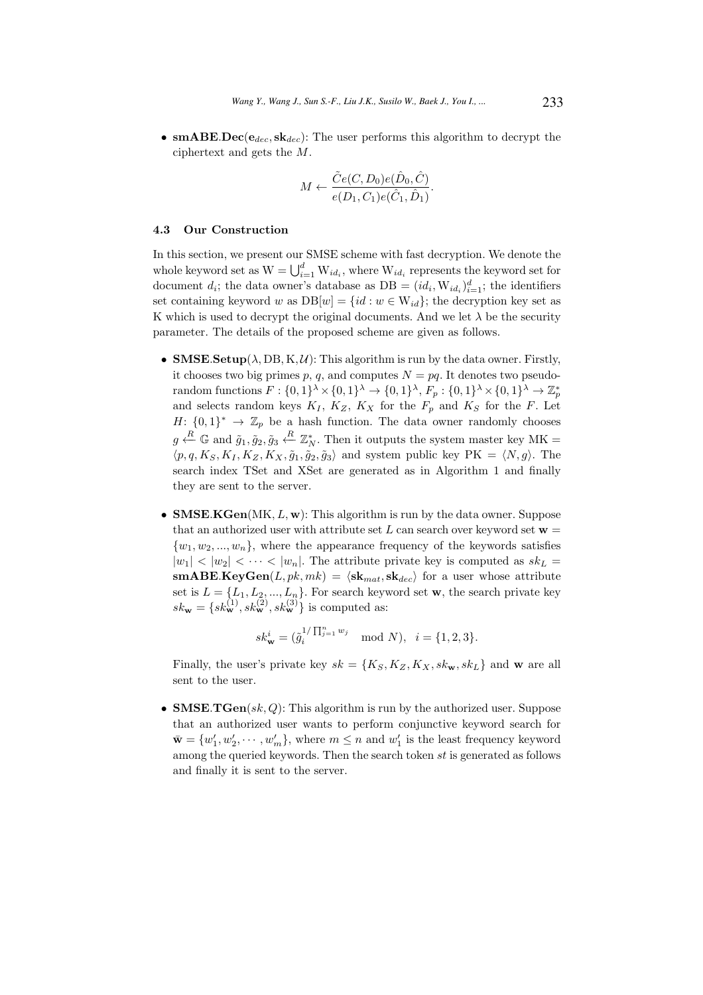• smABE.Dec( $e_{dec}$ , sk<sub>dec</sub>): The user performs this algorithm to decrypt the ciphertext and gets the M.

$$
M \leftarrow \frac{\tilde{C}e(C, D_0)e(\hat{D}_0, \hat{C})}{e(D_1, C_1)e(\hat{C}_1, \hat{D}_1)}.
$$

#### 4.3 Our Construction

In this section, we present our SMSE scheme with fast decryption. We denote the whole keyword set as  $W = \bigcup_{i=1}^{d} W_{id_i}$ , where  $W_{id_i}$  represents the keyword set for document  $d_i$ ; the data owner's database as  $DB = (id_i, W_{id_i})_{i=1}^d$ ; the identifiers set containing keyword w as  $DB[w] = \{id : w \in W_{id}\}\$ ; the decryption key set as K which is used to decrypt the original documents. And we let  $\lambda$  be the security parameter. The details of the proposed scheme are given as follows.

- SMSE. Setup( $\lambda$ , DB, K, U): This algorithm is run by the data owner. Firstly, it chooses two big primes p, q, and computes  $N = pq$ . It denotes two pseudorandom functions  $F: \{0,1\}^{\lambda} \times \{0,1\}^{\lambda} \to \{0,1\}^{\lambda}, F_p: \{0,1\}^{\lambda} \times \{0,1\}^{\lambda} \to \mathbb{Z}_p^*$ and selects random keys  $K_I$ ,  $K_Z$ ,  $K_X$  for the  $F_p$  and  $K_S$  for the F. Let  $H: \{0,1\}^* \to \mathbb{Z}_p$  be a hash function. The data owner randomly chooses  $g \xleftarrow{R} \mathbb{G}$  and  $\tilde{g}_1, \tilde{g}_2, \tilde{g}_3 \xleftarrow{R} \mathbb{Z}_N^*$ . Then it outputs the system master key MK =  $\langle p, q, K_S, K_I, K_Z, K_X, \tilde{g}_1, \tilde{g}_2, \tilde{g}_3 \rangle$  and system public key PK =  $\langle N, g \rangle$ . The search index TSet and XSet are generated as in Algorithm 1 and finally they are sent to the server.
- SMSE.KGen( $MK, L, w$ ): This algorithm is run by the data owner. Suppose that an authorized user with attribute set L can search over keyword set  $w =$  $\{w_1, w_2, ..., w_n\}$ , where the appearance frequency of the keywords satisfies  $|w_1|$  <  $|w_2|$  <  $\cdots$  <  $|w_n|$ . The attribute private key is computed as  $sk_L$  =  $\textbf{smABE}.\textbf{KeyGen}(L, pk, mk) = \langle \textbf{sk}_{mat}, \textbf{sk}_{dec} \rangle$  for a user whose attribute set is  $L = \{L_1, L_2, ..., L_n\}$ . For search keyword set **w**, the search private key  $sk_{\bf w} = \{sk_{\bf w}^{(1)}, sk_{\bf w}^{(2)}, sk_{\bf w}^{(3)}\}$  is computed as:

$$
sk_{\mathbf{w}}^{i} = (\tilde{g}_{i}^{1/\prod_{j=1}^{n} w_{j}} \mod N), \ \ i = \{1, 2, 3\}.
$$

Finally, the user's private key  $sk = \{K_S, K_Z, K_X, sk_w, sk_l\}$  and w are all sent to the user.

• SMSE.TGen $(sk, Q)$ : This algorithm is run by the authorized user. Suppose that an authorized user wants to perform conjunctive keyword search for  $\bar{\mathbf{w}} = \{w'_1, w'_2, \dots, w'_m\}$ , where  $m \leq n$  and  $w'_1$  is the least frequency keyword among the queried keywords. Then the search token st is generated as follows and finally it is sent to the server.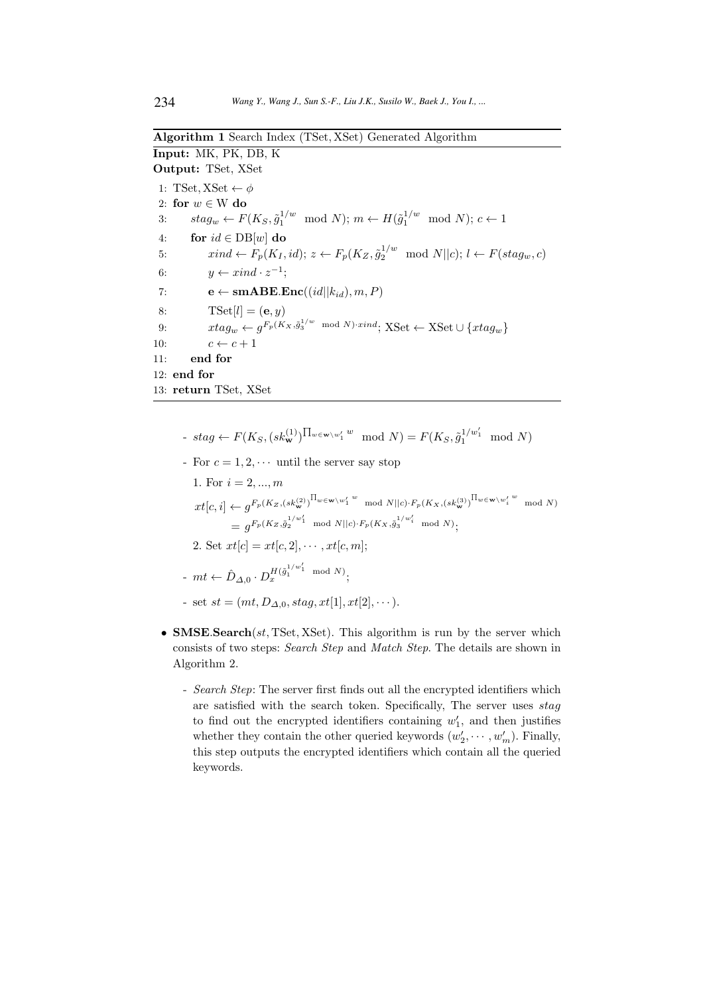Algorithm 1 Search Index (TSet, XSet) Generated Algorithm

Input: MK, PK, DB, K Output: TSet, XSet

1: TSet, XSet  $\leftarrow \phi$ 2: for  $w \in W$  do 3:  $stag_w \leftarrow F(K_S, \tilde{g}_1^{1/w} \mod N); m \leftarrow H(\tilde{g}_1^{1/w} \mod N); c \leftarrow 1$ 4: for  $id \in DB[w]$  do 5:  $xind \leftarrow F_p(K_I, id); z \leftarrow F_p(K_Z, \tilde{g}_2^{1/w} \mod N \vert c); l \leftarrow F(stag_w, c)$ 6:  $y \leftarrow xind \cdot z^{-1};$ 7:  $\mathbf{e} \leftarrow \textbf{smABE}.\textbf{Enc}((id||k_{id}), m, P)$ 8:  $\text{TSet}[l] = (\mathbf{e}, y)$ 9:  $xtag_w \leftarrow g^{F_p(K_X, \tilde{g}_3^{1/w} \mod N) \cdot xind}; XSet \leftarrow XSet \cup \{xtag_w\}$ 10:  $c \leftarrow c + 1$ 11: end for 12: end for 13: return TSet, XSet

- stag ←  $F(K_S, (sk_{\mathbf{w}}^{(1)})^{\prod_{w \in \mathbf{w} \setminus w'_1} w} \mod N) = F(K_S, \tilde{g}_1^{1/w'_1} \mod N)$
- For  $c = 1, 2, \cdots$  until the server say stop

1. For 
$$
i = 2, ..., m
$$
  
\n
$$
xt[c, i] \leftarrow g^{F_p(K_Z, (sk_{\mathbf{w}}^{(2)})^{\prod_{w \in \mathbf{w}} \setminus w'_1 w} \mod N || c) \cdot F_p(K_X, (sk_{\mathbf{w}}^{(3)})^{\prod_{w \in \mathbf{w}} \setminus w'_i w} \mod N)
$$
\n
$$
= g^{F_p(K_Z, \tilde{g}_2^{1/w'_1} \mod N || c) \cdot F_p(K_X, \tilde{g}_3^{1/w'_i} \mod N)};
$$
\n2. Set  $xt[c] = xt[c, 2], \cdots, xt[c, m];$   
\n
$$
- mt \leftarrow \hat{D}_{\Delta, 0} \cdot D_x^{H(\tilde{g}_1^{1/w'_1} \mod N)};
$$

- set  $st = (mt, D_{\Delta,0}, stag, xt[1], xt[2], \dots).$
- SMSE.Search $(st, TSet, XSet)$ . This algorithm is run by the server which consists of two steps: Search Step and Match Step. The details are shown in Algorithm 2.
	- Search Step: The server first finds out all the encrypted identifiers which are satisfied with the search token. Specifically, The server uses  $stag$ to find out the encrypted identifiers containing  $w'_1$ , and then justifies whether they contain the other queried keywords  $(w'_2, \dots, w'_m)$ . Finally, this step outputs the encrypted identifiers which contain all the queried keywords.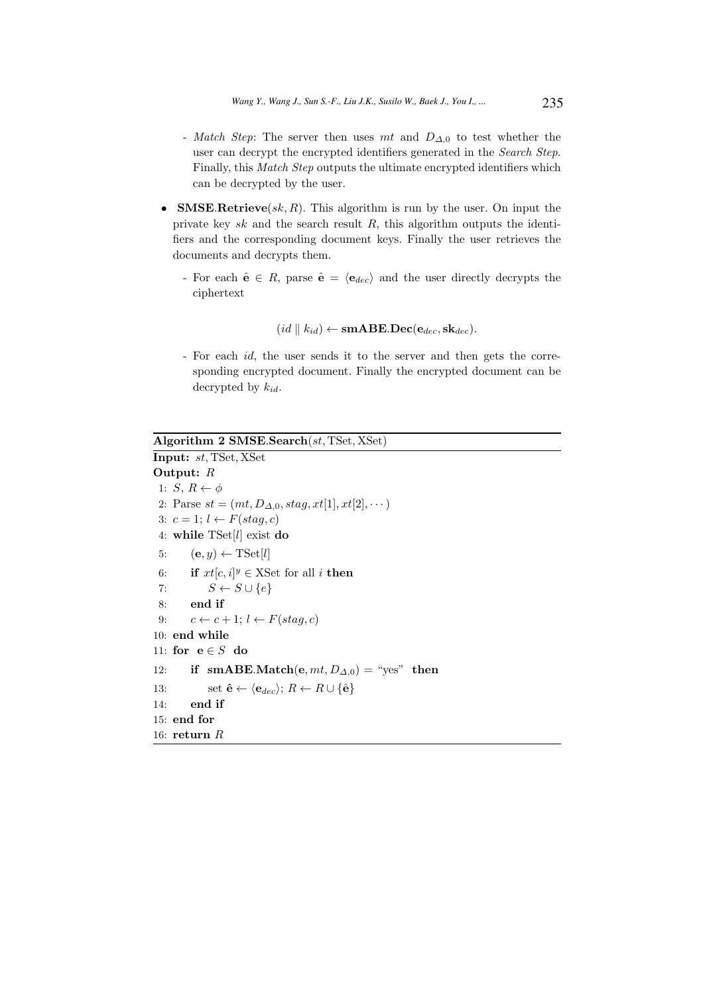- Match Step: The server then uses mt and  $D_{\Delta,0}$  to test whether the user can decrypt the encrypted identifiers generated in the Search Step. Finally, this Match Step outputs the ultimate encrypted identifiers which can be decrypted by the user.
- **SMSE.Retrieve** $(sk, R)$ . This algorithm is run by the user. On input the private key  $sk$  and the search result  $R$ , this algorithm outputs the identifiers and the corresponding document keys. Finally the user retrieves the documents and decrypts them.
	- For each  $\hat{\mathbf{e}} \in R$ , parse  $\hat{\mathbf{e}} = \langle \mathbf{e}_{dec} \rangle$  and the user directly decrypts the ciphertext

$$
(id \parallel k_{id}) \leftarrow \mathbf{smABE.Dec}(\mathbf{e}_{dec}, \mathbf{sk}_{dec}).
$$

- For each id, the user sends it to the server and then gets the corresponding encrypted document. Finally the encrypted document can be decrypted by  $k_{id}$ .

Algorithm 2 SMSE.Search(st, TSet, XSet) Input: st, TSet, XSet Output: R 1:  $S, R \leftarrow \phi$ 2: Parse  $st = (mt, D_{\Delta,0}, stag, xt[1], xt[2], \dots)$ 3:  $c = 1; l \leftarrow F(stag, c)$ 4: while TSet[l] exist do 5:  $(e, y) \leftarrow \text{TSet}[l]$ 6: if  $xt[c, i]^y \in XSet$  for all *i* then 7:  $S \leftarrow S \cup \{e\}$ 8: end if 9:  $c \leftarrow c + 1; l \leftarrow F(stag, c)$ 10: end while 11: for  $e \in S$  do 12: if smABE.Match $(e, mt, D_{\Delta,0}) =$  "yes" then 13: set  $\hat{\mathbf{e}} \leftarrow \langle \mathbf{e}_{dec} \rangle$ ;  $R \leftarrow R \cup \{\hat{\mathbf{e}}\}$ 14: end if 15: end for 16: return R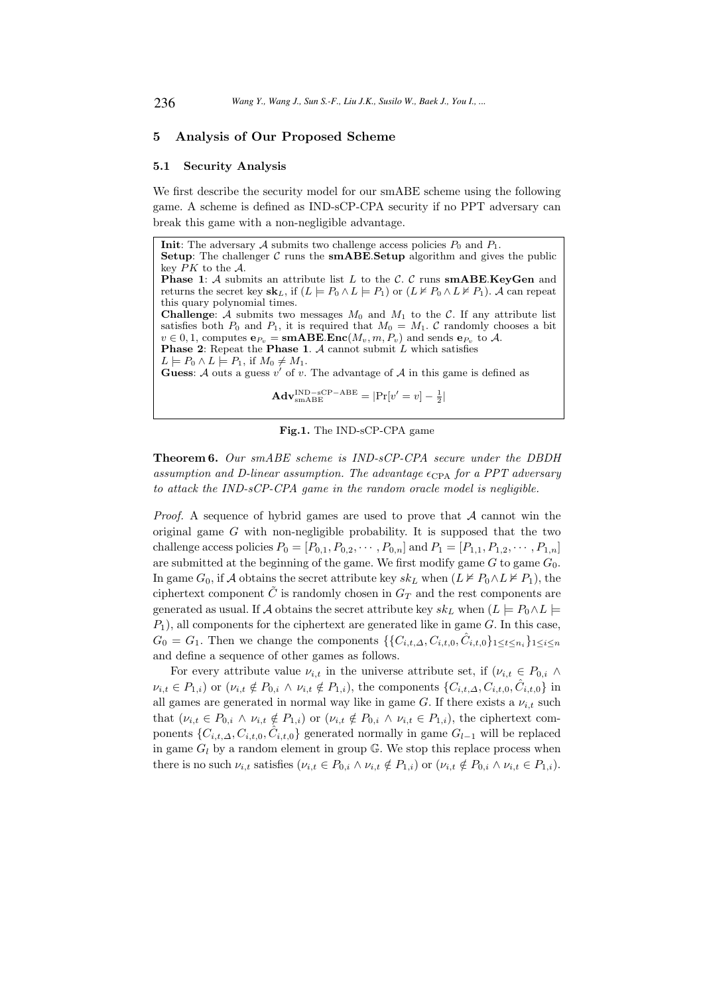# 5 Analysis of Our Proposed Scheme

#### 5.1 Security Analysis

We first describe the security model for our smABE scheme using the following game. A scheme is defined as IND-sCP-CPA security if no PPT adversary can break this game with a non-negligible advantage.

**Init:** The adversary A submits two challenge access policies  $P_0$  and  $P_1$ . **Setup:** The challenger C runs the **smABE. Setup** algorithm and gives the public key PK to the A. **Phase 1:**  $A$  submits an attribute list  $L$  to the  $C$ .  $C$  runs smABE.KeyGen and returns the secret key  $\mathbf{sk}_L$ , if  $(L \models P_0 \land L \models P_1)$  or  $(L \nvDash P_0 \land L \nvDash P_1)$ . A can repeat this quary polynomial times. **Challenge:** A submits two messages  $M_0$  and  $M_1$  to the C. If any attribute list satisfies both  $P_0$  and  $P_1$ , it is required that  $M_0 = M_1$ . C randomly chooses a bit  $v \in 0, 1$ , computes  $e_{P_v} = \textbf{smABE}.\textbf{Enc}(M_v, m, P_v)$  and sends  $e_{P_v}$  to A. **Phase 2:** Repeat the **Phase 1.**  $\mathcal A$  cannot submit  $L$  which satisfies  $L \models P_0 \land L \models P_1$ , if  $M_0 \neq M_1$ . Guess:  $\mathcal A$  outs a guess  $v'$  of  $v$ . The advantage of  $\mathcal A$  in this game is defined as 1

$$
\mathbf{Adv}_{\text{smABE}}^{\text{IND}-\text{sCP}-\text{ABE}} = |\text{Pr}[v'=v] - \frac{1}{2}|
$$

Fig.1. The IND-sCP-CPA game

Theorem 6. Our smABE scheme is IND-sCP-CPA secure under the DBDH assumption and D-linear assumption. The advantage  $\epsilon_{\text{CPA}}$  for a PPT adversary to attack the IND-sCP-CPA game in the random oracle model is negligible.

*Proof.* A sequence of hybrid games are used to prove that  $A$  cannot win the original game  $G$  with non-negligible probability. It is supposed that the two challenge access policies  $P_0 = [P_{0,1}, P_{0,2}, \cdots, P_{0,n}]$  and  $P_1 = [P_{1,1}, P_{1,2}, \cdots, P_{1,n}]$ are submitted at the beginning of the game. We first modify game  $G$  to game  $G_0$ . In game  $G_0$ , if A obtains the secret attribute key  $sk_L$  when  $(L \not\models P_0 \land L \not\models P_1)$ , the ciphertext component  $\tilde{C}$  is randomly chosen in  $G_T$  and the rest components are generated as usual. If A obtains the secret attribute key  $sk_L$  when  $(L \models P_0 \land L \models$  $P_1$ ), all components for the ciphertext are generated like in game  $G$ . In this case,  $G_0 = G_1$ . Then we change the components  $\{\{C_{i,t,\Delta}, C_{i,t,0}, \hat{C}_{i,t,0}\}_{1 \leq t \leq n_i}\}_{1 \leq i \leq n}$ and define a sequence of other games as follows.

For every attribute value  $\nu_{i,t}$  in the universe attribute set, if  $(\nu_{i,t} \in P_{0,i} \land$  $\nu_{i,t} \in P_{1,i}$  or  $(\nu_{i,t} \notin P_{0,i} \wedge \nu_{i,t} \notin P_{1,i}),$  the components  $\{C_{i,t,\Delta}, C_{i,t,0}, \hat{C}_{i,t,0}\}\$ in all games are generated in normal way like in game G. If there exists a  $\nu_{i,t}$  such that  $(\nu_{i,t} \in P_{0,i} \land \nu_{i,t} \notin P_{1,i})$  or  $(\nu_{i,t} \notin P_{0,i} \land \nu_{i,t} \in P_{1,i})$ , the ciphertext components  $\{C_{i,t,\Delta}, C_{i,t,0}, \hat{C}_{i,t,0}\}$  generated normally in game  $G_{l-1}$  will be replaced in game  $G_l$  by a random element in group  $\mathbb{G}$ . We stop this replace process when there is no such  $\nu_{i,t}$  satisfies  $(\nu_{i,t} \in P_{0,i} \land \nu_{i,t} \notin P_{1,i})$  or  $(\nu_{i,t} \notin P_{0,i} \land \nu_{i,t} \in P_{1,i}).$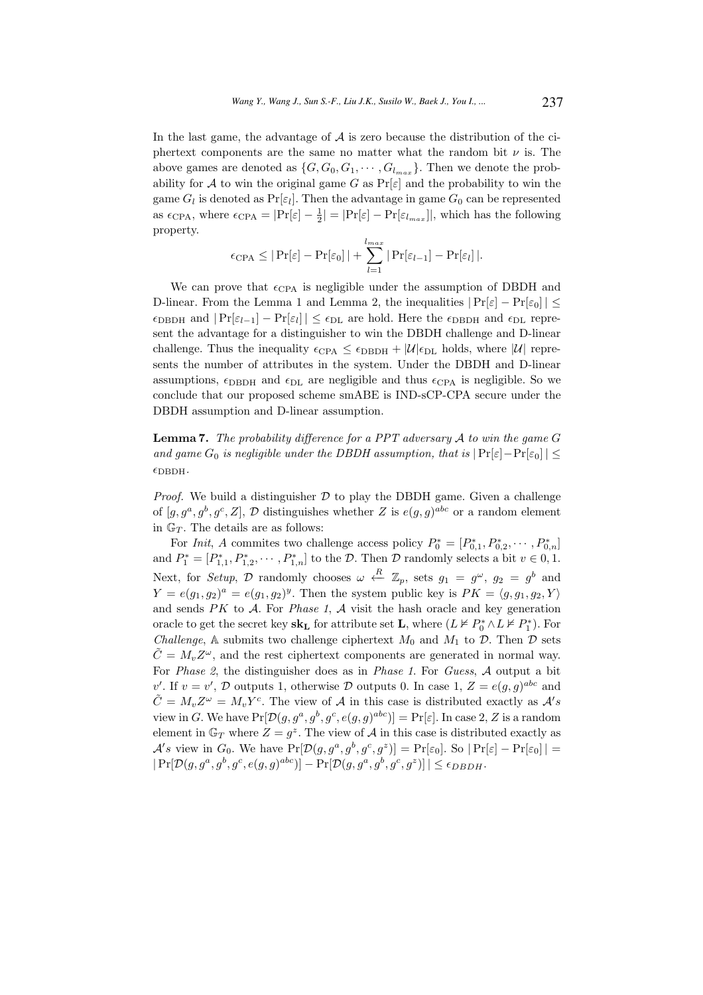In the last game, the advantage of  $A$  is zero because the distribution of the ciphertext components are the same no matter what the random bit  $\nu$  is. The above games are denoted as  $\{G, G_0, G_1, \cdots, G_{l_{max}}\}.$  Then we denote the probability for A to win the original game G as  $Pr[\varepsilon]$  and the probability to win the game  $G_l$  is denoted as  $Pr[\varepsilon_l]$ . Then the advantage in game  $G_0$  can be represented as  $\epsilon_{\text{CPA}}$ , where  $\epsilon_{\text{CPA}} = |\text{Pr}[\varepsilon] - \frac{1}{2}| = |\text{Pr}[\varepsilon] - \text{Pr}[\varepsilon_{l_{max}}]|$ , which has the following property.

$$
\epsilon_{\text{CPA}} \leq |\Pr[\varepsilon] - \Pr[\varepsilon_0]| + \sum_{l=1}^{l_{max}} |\Pr[\varepsilon_{l-1}] - \Pr[\varepsilon_l]|.
$$

We can prove that  $\epsilon_{\text{CPA}}$  is negligible under the assumption of DBDH and D-linear. From the Lemma 1 and Lemma 2, the inequalities  $|Pr[\varepsilon] - Pr[\varepsilon_0]| \leq$  $\epsilon_{\text{DBDH}}$  and  $|\Pr[\varepsilon_{l-1}] - \Pr[\varepsilon_l]| \leq \epsilon_{\text{DL}}$  are hold. Here the  $\epsilon_{\text{DBDH}}$  and  $\epsilon_{\text{DL}}$  represent the advantage for a distinguisher to win the DBDH challenge and D-linear challenge. Thus the inequality  $\epsilon_{CPA} \leq \epsilon_{DBDH} + |\mathcal{U}| \epsilon_{DL}$  holds, where  $|\mathcal{U}|$  represents the number of attributes in the system. Under the DBDH and D-linear assumptions,  $\epsilon_{\text{DBDH}}$  and  $\epsilon_{\text{DL}}$  are negligible and thus  $\epsilon_{\text{CPA}}$  is negligible. So we conclude that our proposed scheme smABE is IND-sCP-CPA secure under the DBDH assumption and D-linear assumption.

**Lemma 7.** The probability difference for a PPT adversary  $A$  to win the game  $G$ and game  $G_0$  is negligible under the DBDH assumption, that is  $|\Pr[\varepsilon]-\Pr[\varepsilon_0]| \leq$  $\epsilon_{\text{DBDH}}$ .

*Proof.* We build a distinguisher  $D$  to play the DBDH game. Given a challenge of  $[g, g^a, g^b, g^c, Z]$ , D distinguishes whether Z is  $e(g, g)^{abc}$  or a random element in  $\mathbb{G}_T$ . The details are as follows:

For Init, A commites two challenge access policy  $P_0^* = [P_{0,1}^*, P_{0,2}^*, \cdots, P_{0,n}^*]$ and  $P_1^* = [P_{1,1}^*, P_{1,2}^*, \cdots, P_{1,n}^*]$  to the  $\mathcal{D}$ . Then  $\mathcal{D}$  randomly selects a bit  $v \in 0, 1$ . Next, for Setup, D randomly chooses  $\omega \stackrel{R}{\leftarrow} \mathbb{Z}_p$ , sets  $g_1 = g^{\omega}$ ,  $g_2 = g^b$  and  $Y = e(g_1, g_2)^a = e(g_1, g_2)^y$ . Then the system public key is  $PK = \langle g, g_1, g_2, Y \rangle$ and sends  $PK$  to  $A$ . For *Phase 1*,  $A$  visit the hash oracle and key generation oracle to get the secret key  $\mathbf{sk}_{\mathbf{L}}$  for attribute set **L**, where  $(L \nvDash P_0^* \land L \nvDash P_1^*)$ . For Challenge, A submits two challenge ciphertext  $M_0$  and  $M_1$  to  $\mathcal D$ . Then  $\mathcal D$  sets  $\tilde{C} = M_v Z^{\omega}$ , and the rest ciphertext components are generated in normal way. For *Phase 2*, the distinguisher does as in *Phase 1*. For *Guess*, A output a bit v'. If  $v = v'$ , D outputs 1, otherwise D outputs 0. In case 1,  $Z = e(g, g)^{abc}$  and  $\tilde{C} = M_v Z^{\omega} = M_v Y^c$ . The view of A in this case is distributed exactly as  $\mathcal{A}'s$ view in G. We have  $Pr[\mathcal{D}(g, g^a, g^b, g^c, e(g, g)^{abc})] = Pr[\varepsilon]$ . In case 2, Z is a random element in  $\mathbb{G}_T$  where  $Z = g^z$ . The view of A in this case is distributed exactly as  $\mathcal{A}'s$  view in  $G_0$ . We have  $Pr[\mathcal{D}(g, g^a, g^b, g^c, g^z)] = Pr[\varepsilon_0]$ . So  $|Pr[\varepsilon] - Pr[\varepsilon_0]|$  =  $|\Pr[\mathcal{D}(g, g^a, g^b, g^c, e(g, g)^{abc})] - \Pr[\mathcal{D}(g, g^a, g^b, g^c, g^z)]| \le \epsilon_{DBDH}.$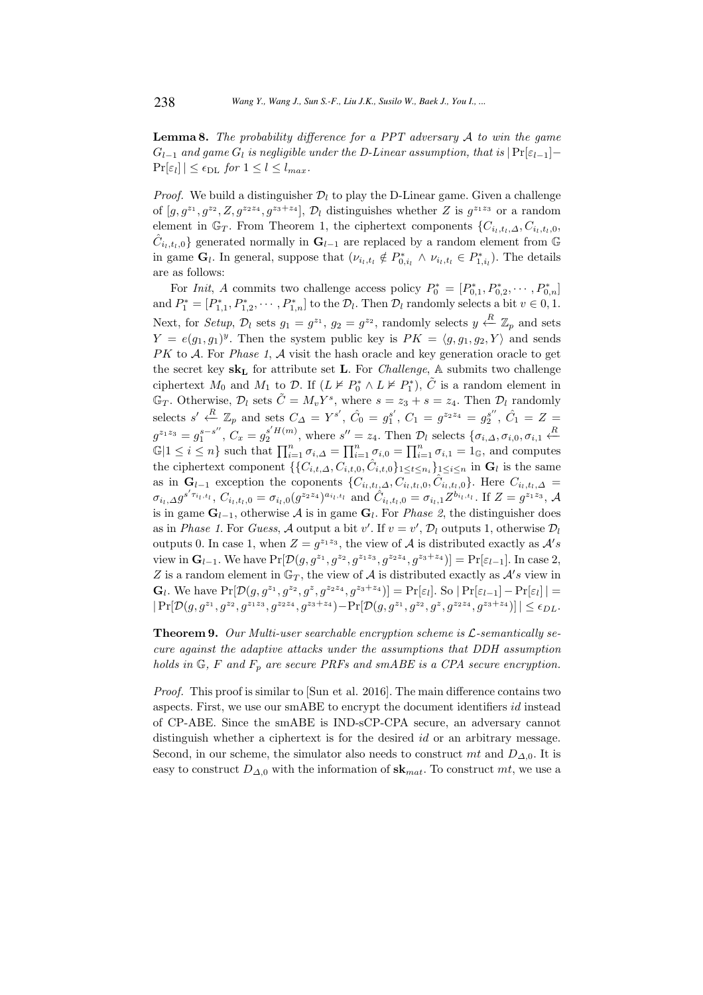**Lemma 8.** The probability difference for a PPT adversary  $A$  to win the game  $G_{l-1}$  and game  $G_l$  is negligible under the D-Linear assumption, that is  $|Pr[\varepsilon_{l-1}] \Pr[\varepsilon_l] \leq \epsilon_{\text{DL}}$  for  $1 \leq l \leq l_{max}$ .

*Proof.* We build a distinguisher  $\mathcal{D}_l$  to play the D-Linear game. Given a challenge of  $[g, g^{z_1}, g^{z_2}, Z, g^{z_2z_4}, g^{z_3+z_4}]$ ,  $\mathcal{D}_l$  distinguishes whether Z is  $g^{z_1z_3}$  or a random element in  $\mathbb{G}_T$ . From Theorem 1, the ciphertext components  $\{C_{i_l,t_l,\Delta}, C_{i_l,t_l,0},\}$  $\hat{C}_{i_l,t_l,0}$ } generated normally in  $\mathbf{G}_{l-1}$  are replaced by a random element from  $\mathbb G$ in game  $\mathbf{G}_l$ . In general, suppose that  $(\nu_{i_l,t_l} \notin P^*_{0,i_l} \wedge \nu_{i_l,t_l} \in P^*_{1,i_l})$ . The details are as follows:

For *Init*, A commits two challenge access policy  $P_0^* = [P_{0,1}^*, P_{0,2}^*, \cdots, P_{0,n}^*]$ and  $P_1^* = [P_{1,1}^*, P_{1,2}^*, \cdots, P_{1,n}^*]$  to the  $\mathcal{D}_l$ . Then  $\mathcal{D}_l$  randomly selects a bit  $v \in 0, 1$ . Next, for Setup,  $\mathcal{D}_l$  sets  $g_1 = g^{z_1}$ ,  $g_2 = g^{z_2}$ , randomly selects  $y \stackrel{R}{\leftarrow} \mathbb{Z}_p$  and sets  $Y = e(g_1, g_1)^y$ . Then the system public key is  $PK = \langle g, g_1, g_2, Y \rangle$  and sends PK to A. For *Phase 1*, A visit the hash oracle and key generation oracle to get the secret key  $sk_L$  for attribute set **L**. For *Challenge*, A submits two challenge ciphertext  $M_0$  and  $M_1$  to  $\mathcal{D}$ . If  $(L \nvDash P_0^* \wedge L \nvDash P_1^*)$ ,  $\tilde{C}$  is a random element in  $\mathbb{G}_T$ . Otherwise,  $\mathcal{D}_l$  sets  $\tilde{C} = M_v Y^s$ , where  $s = z_3 + s = z_4$ . Then  $\mathcal{D}_l$  randomly selects  $s' \xleftarrow{R} \mathbb{Z}_p$  and sets  $C_{\Delta} = Y^{s'}$ ,  $\hat{C}_0 = g_1^{s'}$ ,  $C_1 = g^{z_2 z_4} = g_2^{s''}$ ,  $\hat{C}_1 = Z =$  $g^{z_1z_3}=g_1^{s-s''}$  $_1^{s-s''}$ ,  $C_x = g_2^{s'H(m)}$ , where  $s'' = z_4$ . Then  $\mathcal{D}_l$  selects  $\{\sigma_{i,\Delta}, \sigma_{i,0}, \sigma_{i,1} \stackrel{R}{\leftarrow} \sigma_{i,\Delta} \}$  $\mathbb{G}|1 \leq i \leq n$  such that  $\prod_{i=1}^{n} \sigma_{i,\Delta} = \prod_{i=1}^{n} \sigma_{i,0} = \prod_{i=1}^{n} \sigma_{i,1} = 1_{\mathbb{G}}$ , and computes the ciphertext component  $\{\{C_{i,t,\Delta}, C_{i,t,0}, \hat{C}_{i,t,0}\}_{1 \leq t \leq n_i}\}_{1 \leq i \leq n}$  in  $\mathbf{G}_l$  is the same as in  $\mathbf{G}_{l-1}$  exception the coponents  $\{C_{i_l,t_l,\Delta}, C_{i_l,t_l,0}, \hat{C}_{i_l,t_l,0}\}$ . Here  $C_{i_l,t_l,\Delta}$  $\sigma_{i_l, \Delta} g^{s'\tau_{i_l, t_l}}, C_{i_l, t_l, 0} = \sigma_{i_l, 0} (g^{z_2 z_4})^{a_{i_l, t_l}}$  and  $\hat{C}_{i_l, t_l, 0} = \sigma_{i_l, 1} Z^{b_{i_l, t_l}}$ . If  $Z = g^{z_1 z_3}$ , A is in game  $\mathbf{G}_{l-1}$ , otherwise  $\mathcal A$  is in game  $\mathbf{G}_l$ . For *Phase 2*, the distinguisher does as in *Phase 1*. For *Guess*,  $\mathcal A$  output a bit  $v'$ . If  $v = v'$ ,  $\mathcal D_l$  outputs 1, otherwise  $\mathcal D_l$ outputs 0. In case 1, when  $Z = g^{z_1 z_3}$ , the view of A is distributed exactly as  $A's$ view in  $\mathbf{G}_{l-1}$ . We have  $Pr[\mathcal{D}(g, g^{z_1}, g^{z_2}, g^{z_1z_3}, g^{z_2z_4}, g^{z_3+z_4})] = Pr[\varepsilon_{l-1}]$ . In case 2, Z is a random element in  $\mathbb{G}_T$ , the view of A is distributed exactly as  $\mathcal{A}'s$  view in  $\mathbf{G}_l$ . We have  $\Pr[\mathcal{D}(g, g^{z_1}, g^{z_2}, g^{z}, g^{z_2z_4}, g^{z_3+z_4})] = \Pr[\varepsilon_l]$ . So  $|\Pr[\varepsilon_{l-1}] - \Pr[\varepsilon_l]| =$  $\big|\Pr[\mathcal{D}(g, g^{z_1}, g^{z_2}, g^{z_1z_3}, g^{z_2z_4}, g^{z_3+z_4}) - \Pr[\mathcal{D}(g, g^{z_1}, g^{z_2}, g^{z}, g^{z_2z_4}, g^{z_3+z_4})]\big| \le \epsilon_{DL}.$ 

**Theorem 9.** Our Multi-user searchable encryption scheme is  $\mathcal{L}$ -semantically secure against the adaptive attacks under the assumptions that DDH assumption holds in  $\mathbb{G}$ , F and  $F_p$  are secure PRFs and smABE is a CPA secure encryption.

Proof. This proof is similar to [Sun et al. 2016]. The main difference contains two aspects. First, we use our smABE to encrypt the document identifiers id instead of CP-ABE. Since the smABE is IND-sCP-CPA secure, an adversary cannot distinguish whether a ciphertext is for the desired id or an arbitrary message. Second, in our scheme, the simulator also needs to construct mt and  $D_{\Delta,0}$ . It is easy to construct  $D_{\Delta,0}$  with the information of  $\mathbf{sk}_{mat}$ . To construct mt, we use a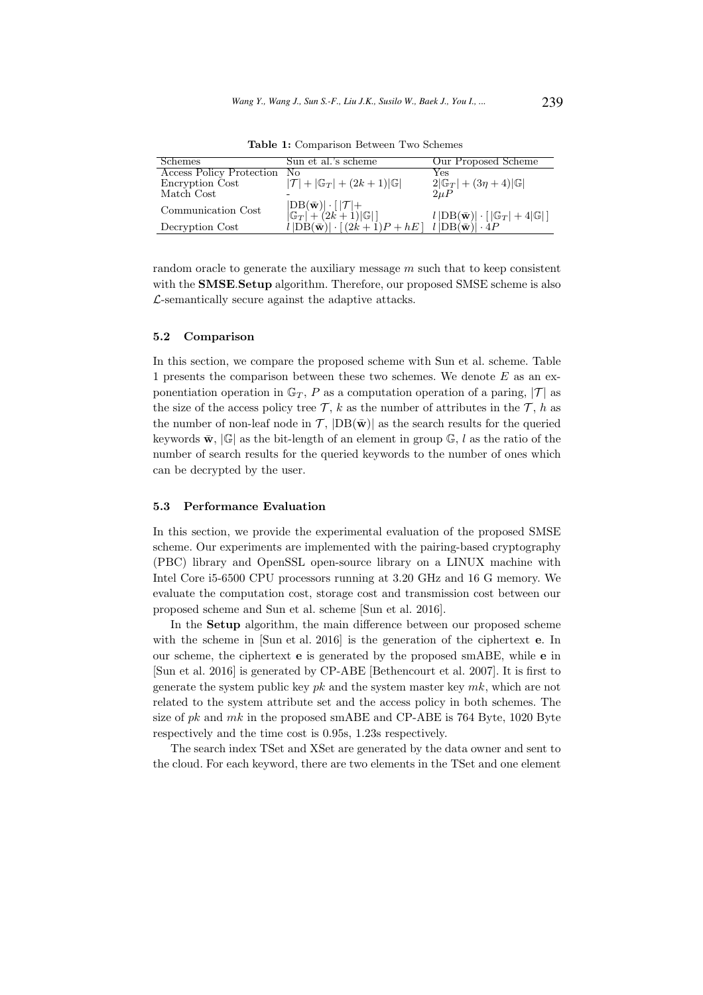| Schemes                            | Sun et al.'s scheme                                                                                              | Our Proposed Scheme                                                                                          |
|------------------------------------|------------------------------------------------------------------------------------------------------------------|--------------------------------------------------------------------------------------------------------------|
| <b>Access Policy Protection No</b> |                                                                                                                  | Yes                                                                                                          |
| Encryption Cost                    | $ \mathcal{T}  +  \mathbb{G}_T  + (2k+1) \mathbb{G} $                                                            | $2 \mathbb{G}_T  + (3\eta + 4) \mathbb{G} $                                                                  |
| Match Cost                         |                                                                                                                  | $2\mu P$                                                                                                     |
| Communication Cost                 | $\left  \frac{\text{DB}(\bar{\mathbf{w}})  \cdot [ \mathcal{T}  +}{ \mathbb{G}_T  + (2k+1) \mathbb{G} } \right $ | $l\left  {\rm DB}(\bar{\mathbf{w}})\right  \cdot \left[ \left {\mathbb G}_T\right  + 4  {\mathbb G} \right]$ |
| Decryption Cost                    | $l \text{DB}(\bar{\mathbf{w}})  \cdot [(2k+1)P + hE] \quad l \text{DB}(\bar{\mathbf{w}})  \cdot 4P$              |                                                                                                              |

Table 1: Comparison Between Two Schemes

random oracle to generate the auxiliary message  $m$  such that to keep consistent with the **SMSE.Setup** algorithm. Therefore, our proposed SMSE scheme is also  $\mathcal{L}$ -semantically secure against the adaptive attacks.

## 5.2 Comparison

In this section, we compare the proposed scheme with Sun et al. scheme. Table 1 presents the comparison between these two schemes. We denote  $E$  as an exponentiation operation in  $\mathbb{G}_T$ , P as a computation operation of a paring,  $|\mathcal{T}|$  as the size of the access policy tree  $\mathcal{T}$ , k as the number of attributes in the  $\mathcal{T}$ , h as the number of non-leaf node in  $\mathcal{T}$ ,  $|DB(\bar{w})|$  as the search results for the queried keywords  $\bar{\mathbf{w}}$ ,  $|\mathbb{G}|$  as the bit-length of an element in group  $\mathbb{G}$ , l as the ratio of the number of search results for the queried keywords to the number of ones which can be decrypted by the user.

#### 5.3 Performance Evaluation

In this section, we provide the experimental evaluation of the proposed SMSE scheme. Our experiments are implemented with the pairing-based cryptography (PBC) library and OpenSSL open-source library on a LINUX machine with Intel Core i5-6500 CPU processors running at 3.20 GHz and 16 G memory. We evaluate the computation cost, storage cost and transmission cost between our proposed scheme and Sun et al. scheme [Sun et al. 2016].

In the Setup algorithm, the main difference between our proposed scheme with the scheme in [Sun et al. 2016] is the generation of the ciphertext **e**. In our scheme, the ciphertext e is generated by the proposed smABE, while e in [Sun et al. 2016] is generated by CP-ABE [Bethencourt et al. 2007]. It is first to generate the system public key  $pk$  and the system master key  $mk$ , which are not related to the system attribute set and the access policy in both schemes. The size of  $pk$  and  $mk$  in the proposed smABE and CP-ABE is 764 Byte, 1020 Byte respectively and the time cost is 0.95s, 1.23s respectively.

The search index TSet and XSet are generated by the data owner and sent to the cloud. For each keyword, there are two elements in the TSet and one element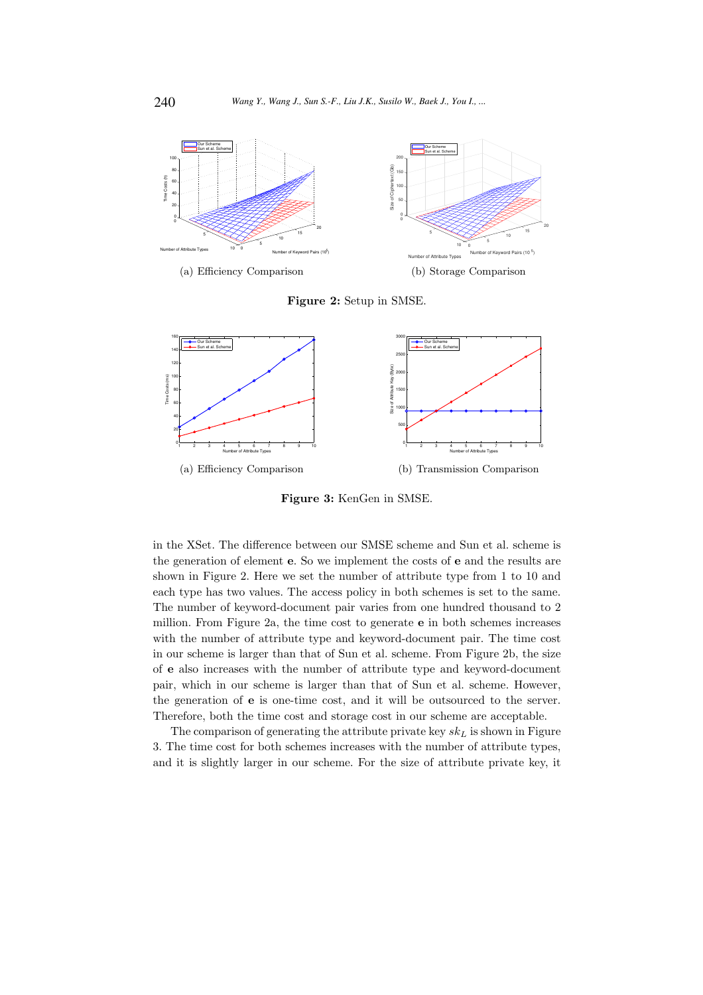

Figure 2: Setup in SMSE.



Figure 3: KenGen in SMSE.

in the XSet. The difference between our SMSE scheme and Sun et al. scheme is the generation of element e. So we implement the costs of e and the results are shown in Figure 2. Here we set the number of attribute type from 1 to 10 and each type has two values. The access policy in both schemes is set to the same. The number of keyword-document pair varies from one hundred thousand to 2 million. From Figure 2a, the time cost to generate e in both schemes increases with the number of attribute type and keyword-document pair. The time cost in our scheme is larger than that of Sun et al. scheme. From Figure 2b, the size of e also increases with the number of attribute type and keyword-document pair, which in our scheme is larger than that of Sun et al. scheme. However, the generation of e is one-time cost, and it will be outsourced to the server. Therefore, both the time cost and storage cost in our scheme are acceptable.

The comparison of generating the attribute private key  $sk_L$  is shown in Figure 3. The time cost for both schemes increases with the number of attribute types, and it is slightly larger in our scheme. For the size of attribute private key, it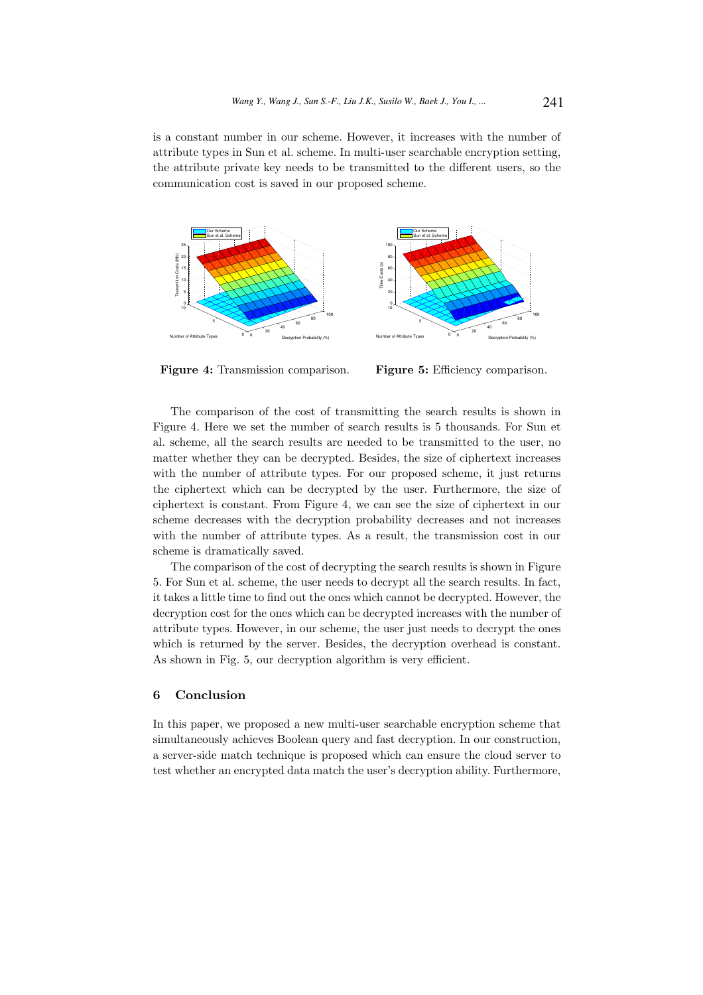is a constant number in our scheme. However, it increases with the number of attribute types in Sun et al. scheme. In multi-user searchable encryption setting, the attribute private key needs to be transmitted to the different users, so the communication cost is saved in our proposed scheme.



Figure 4: Transmission comparison.

Figure 5: Efficiency comparison.

The comparison of the cost of transmitting the search results is shown in Figure 4. Here we set the number of search results is 5 thousands. For Sun et al. scheme, all the search results are needed to be transmitted to the user, no matter whether they can be decrypted. Besides, the size of ciphertext increases with the number of attribute types. For our proposed scheme, it just returns the ciphertext which can be decrypted by the user. Furthermore, the size of ciphertext is constant. From Figure 4, we can see the size of ciphertext in our scheme decreases with the decryption probability decreases and not increases with the number of attribute types. As a result, the transmission cost in our scheme is dramatically saved.

The comparison of the cost of decrypting the search results is shown in Figure 5. For Sun et al. scheme, the user needs to decrypt all the search results. In fact, it takes a little time to find out the ones which cannot be decrypted. However, the decryption cost for the ones which can be decrypted increases with the number of attribute types. However, in our scheme, the user just needs to decrypt the ones which is returned by the server. Besides, the decryption overhead is constant. As shown in Fig. 5, our decryption algorithm is very efficient.

# 6 Conclusion

In this paper, we proposed a new multi-user searchable encryption scheme that simultaneously achieves Boolean query and fast decryption. In our construction, a server-side match technique is proposed which can ensure the cloud server to test whether an encrypted data match the user's decryption ability. Furthermore,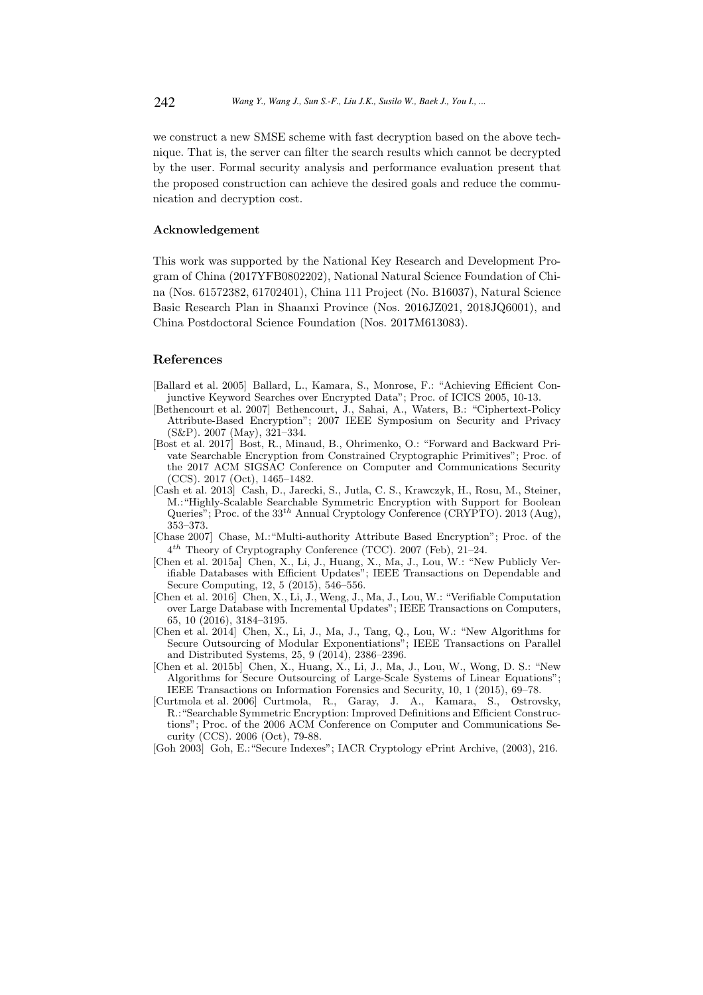we construct a new SMSE scheme with fast decryption based on the above technique. That is, the server can filter the search results which cannot be decrypted by the user. Formal security analysis and performance evaluation present that the proposed construction can achieve the desired goals and reduce the communication and decryption cost.

## Acknowledgement

This work was supported by the National Key Research and Development Program of China (2017YFB0802202), National Natural Science Foundation of China (Nos. 61572382, 61702401), China 111 Project (No. B16037), Natural Science Basic Research Plan in Shaanxi Province (Nos. 2016JZ021, 2018JQ6001), and China Postdoctoral Science Foundation (Nos. 2017M613083).

# References

- [Ballard et al. 2005] Ballard, L., Kamara, S., Monrose, F.: "Achieving Efficient Conjunctive Keyword Searches over Encrypted Data"; Proc. of ICICS 2005, 10-13.
- [Bethencourt et al. 2007] Bethencourt, J., Sahai, A., Waters, B.: "Ciphertext-Policy Attribute-Based Encryption"; 2007 IEEE Symposium on Security and Privacy (S&P). 2007 (May), 321–334.
- [Bost et al. 2017] Bost, R., Minaud, B., Ohrimenko, O.: "Forward and Backward Private Searchable Encryption from Constrained Cryptographic Primitives"; Proc. of the 2017 ACM SIGSAC Conference on Computer and Communications Security (CCS). 2017 (Oct), 1465–1482.
- [Cash et al. 2013] Cash, D., Jarecki, S., Jutla, C. S., Krawczyk, H., Rosu, M., Steiner, M.:"Highly-Scalable Searchable Symmetric Encryption with Support for Boolean Queries"; Proc. of the  $33<sup>th</sup>$  Annual Cryptology Conference (CRYPTO). 2013 (Aug), 353–373.
- [Chase 2007] Chase, M.:"Multi-authority Attribute Based Encryption"; Proc. of the  $4^{th}$  Theory of Cryptography Conference (TCC). 2007 (Feb), 21-24.
- [Chen et al. 2015a] Chen, X., Li, J., Huang, X., Ma, J., Lou, W.: "New Publicly Verifiable Databases with Efficient Updates"; IEEE Transactions on Dependable and Secure Computing, 12, 5 (2015), 546–556.
- [Chen et al. 2016] Chen, X., Li, J., Weng, J., Ma, J., Lou, W.: "Verifiable Computation over Large Database with Incremental Updates"; IEEE Transactions on Computers, 65, 10 (2016), 3184–3195.
- [Chen et al. 2014] Chen, X., Li, J., Ma, J., Tang, Q., Lou, W.: "New Algorithms for Secure Outsourcing of Modular Exponentiations"; IEEE Transactions on Parallel and Distributed Systems, 25, 9 (2014), 2386–2396.
- [Chen et al. 2015b] Chen, X., Huang, X., Li, J., Ma, J., Lou, W., Wong, D. S.: "New Algorithms for Secure Outsourcing of Large-Scale Systems of Linear Equations"; IEEE Transactions on Information Forensics and Security, 10, 1 (2015), 69–78.
- [Curtmola et al. 2006] Curtmola, R., Garay, J. A., Kamara, S., Ostrovsky, R.:"Searchable Symmetric Encryption: Improved Definitions and Efficient Constructions"; Proc. of the 2006 ACM Conference on Computer and Communications Security (CCS). 2006 (Oct), 79-88.
- [Goh 2003] Goh, E.:"Secure Indexes"; IACR Cryptology ePrint Archive, (2003), 216.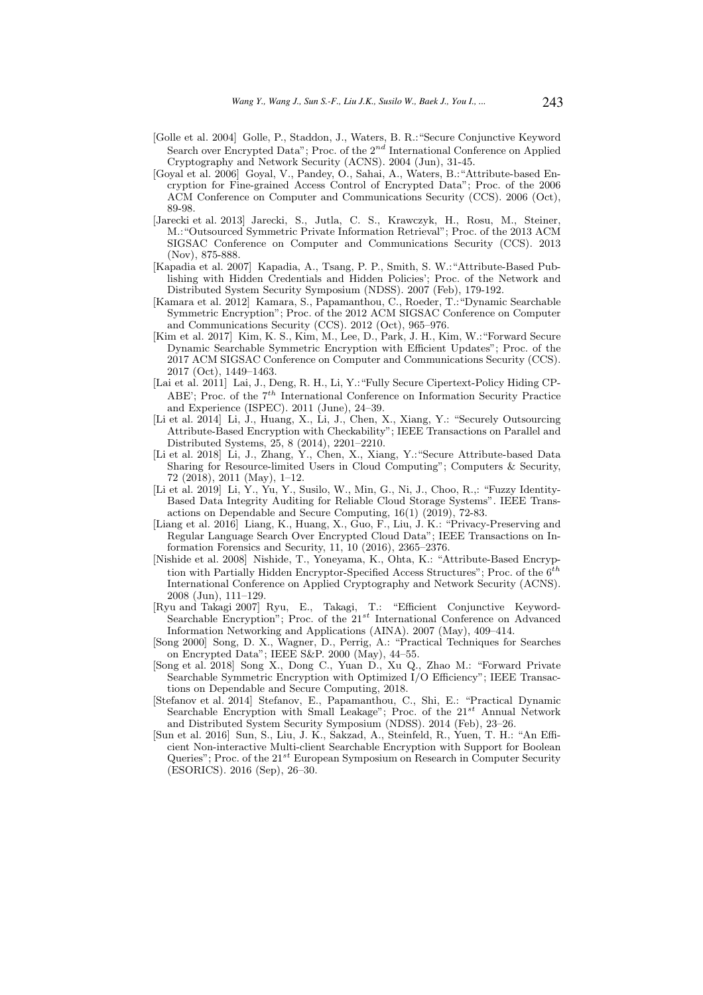- [Golle et al. 2004] Golle, P., Staddon, J., Waters, B. R.:"Secure Conjunctive Keyword Search over Encrypted Data"; Proc. of the  $2^{nd}$  International Conference on Applied Cryptography and Network Security (ACNS). 2004 (Jun), 31-45.
- [Goyal et al. 2006] Goyal, V., Pandey, O., Sahai, A., Waters, B.:"Attribute-based Encryption for Fine-grained Access Control of Encrypted Data"; Proc. of the 2006 ACM Conference on Computer and Communications Security (CCS). 2006 (Oct), 89-98.
- [Jarecki et al. 2013] Jarecki, S., Jutla, C. S., Krawczyk, H., Rosu, M., Steiner, M.:"Outsourced Symmetric Private Information Retrieval"; Proc. of the 2013 ACM SIGSAC Conference on Computer and Communications Security (CCS). 2013 (Nov), 875-888.
- [Kapadia et al. 2007] Kapadia, A., Tsang, P. P., Smith, S. W.:"Attribute-Based Publishing with Hidden Credentials and Hidden Policies'; Proc. of the Network and Distributed System Security Symposium (NDSS). 2007 (Feb), 179-192.
- [Kamara et al. 2012] Kamara, S., Papamanthou, C., Roeder, T.:"Dynamic Searchable Symmetric Encryption"; Proc. of the 2012 ACM SIGSAC Conference on Computer and Communications Security (CCS). 2012 (Oct), 965–976.
- [Kim et al. 2017] Kim, K. S., Kim, M., Lee, D., Park, J. H., Kim, W.:"Forward Secure Dynamic Searchable Symmetric Encryption with Efficient Updates"; Proc. of the 2017 ACM SIGSAC Conference on Computer and Communications Security (CCS). 2017 (Oct), 1449–1463.
- [Lai et al. 2011] Lai, J., Deng, R. H., Li, Y.:"Fully Secure Cipertext-Policy Hiding CP-ABE': Proc. of the  $7<sup>th</sup>$  International Conference on Information Security Practice and Experience (ISPEC). 2011 (June), 24–39.
- [Li et al. 2014] Li, J., Huang, X., Li, J., Chen, X., Xiang, Y.: "Securely Outsourcing Attribute-Based Encryption with Checkability"; IEEE Transactions on Parallel and Distributed Systems, 25, 8 (2014), 2201–2210.
- [Li et al. 2018] Li, J., Zhang, Y., Chen, X., Xiang, Y.:"Secure Attribute-based Data Sharing for Resource-limited Users in Cloud Computing"; Computers & Security, 72 (2018), 2011 (May), 1–12.
- [Li et al. 2019] Li, Y., Yu, Y., Susilo, W., Min, G., Ni, J., Choo, R.,: "Fuzzy Identity-Based Data Integrity Auditing for Reliable Cloud Storage Systems". IEEE Transactions on Dependable and Secure Computing, 16(1) (2019), 72-83.
- [Liang et al. 2016] Liang, K., Huang, X., Guo, F., Liu, J. K.: "Privacy-Preserving and Regular Language Search Over Encrypted Cloud Data"; IEEE Transactions on Information Forensics and Security, 11, 10 (2016), 2365–2376.
- [Nishide et al. 2008] Nishide, T., Yoneyama, K., Ohta, K.: "Attribute-Based Encryption with Partially Hidden Encryptor-Specified Access Structures"; Proc. of the  $6<sup>th</sup>$ International Conference on Applied Cryptography and Network Security (ACNS). 2008 (Jun), 111–129.
- [Ryu and Takagi 2007] Ryu, E., Takagi, T.: "Efficient Conjunctive Keyword-Searchable Encryption"; Proc. of the  $21^{st}$  International Conference on Advanced Information Networking and Applications (AINA). 2007 (May), 409–414.
- [Song 2000] Song, D. X., Wagner, D., Perrig, A.: "Practical Techniques for Searches on Encrypted Data"; IEEE S&P. 2000 (May), 44–55.
- [Song et al. 2018] Song X., Dong C., Yuan D., Xu Q., Zhao M.: "Forward Private Searchable Symmetric Encryption with Optimized I/O Efficiency"; IEEE Transactions on Dependable and Secure Computing, 2018.
- [Stefanov et al. 2014] Stefanov, E., Papamanthou, C., Shi, E.: "Practical Dynamic Searchable Encryption with Small Leakage"; Proc. of the  $21^{st}$  Annual Network and Distributed System Security Symposium (NDSS). 2014 (Feb), 23–26.
- [Sun et al. 2016] Sun, S., Liu, J. K., Sakzad, A., Steinfeld, R., Yuen, T. H.: "An Efficient Non-interactive Multi-client Searchable Encryption with Support for Boolean Queries"; Proc. of the  $21^{st}$  European Symposium on Research in Computer Security (ESORICS). 2016 (Sep), 26–30.